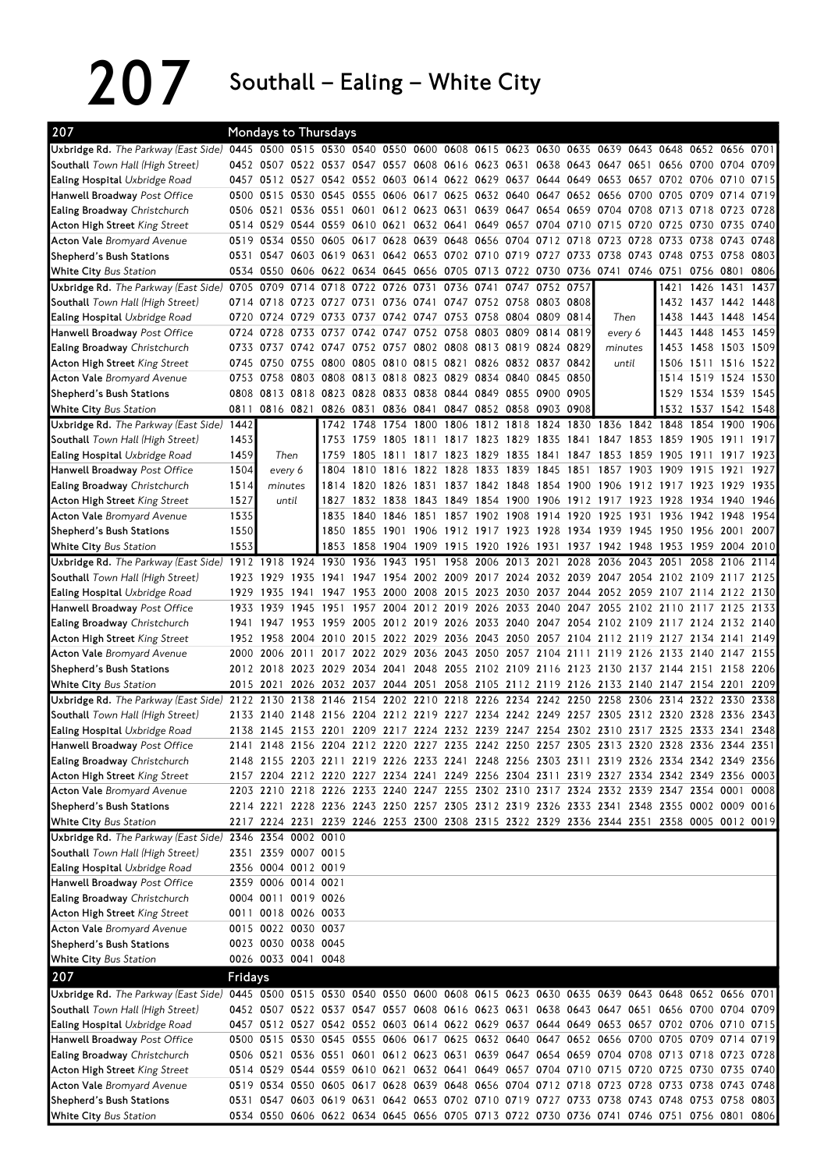$207$  Southall – Ealing – White City

| 207                                                                 |         | <b>Mondays to Thursdays</b>                |           |                |                     |           |      |                |                                                             |                     |                                                                                                                                                                                        |                |                     |                                           |                     |      |
|---------------------------------------------------------------------|---------|--------------------------------------------|-----------|----------------|---------------------|-----------|------|----------------|-------------------------------------------------------------|---------------------|----------------------------------------------------------------------------------------------------------------------------------------------------------------------------------------|----------------|---------------------|-------------------------------------------|---------------------|------|
| Uxbridge Rd. The Parkway (East Side)                                |         |                                            |           |                |                     |           |      |                |                                                             |                     | 0445 0500 0515 0530 0540 0550 0600 0608 0615 0623 0630 0635 0639 0643 0648 0652 0656 0701                                                                                              |                |                     |                                           |                     |      |
| <b>Southall</b> Town Hall (High Street)                             |         |                                            |           |                |                     |           |      |                |                                                             |                     | 0452 0507 0522 0537 0547 0557 0608 0616 0623 0631 0638 0643 0647 0651 0656 0700 0704 0709                                                                                              |                |                     |                                           |                     |      |
| <b>Ealing Hospital Uxbridge Road</b>                                |         |                                            |           |                |                     |           |      |                |                                                             |                     | 0457 0512 0527 0542 0552 0603 0614 0622 0629 0637 0644 0649 0653 0657 0702 0706 0710 0715                                                                                              |                |                     |                                           |                     |      |
| Hanwell Broadway Post Office                                        | 0500    | 0515 0530 0545 0555                        |           |                |                     |           |      |                |                                                             |                     | 0606 0617 0625 0632 0640 0647 0652 0656 0700                                                                                                                                           |                | 0705 0709           |                                           | 0714                | 0719 |
| Ealing Broadway Christchurch                                        | 0506    | 0521 0536 0551 0601                        |           |                |                     |           |      |                |                                                             |                     | 0612 0623 0631 0639 0647 0654 0659 0704 0708 0713 0718 0723 0728                                                                                                                       |                |                     |                                           |                     |      |
| <b>Acton High Street King Street</b>                                |         |                                            |           |                |                     |           |      |                | 0514 0529 0544 0559 0610 0621 0632 0641 0649 0657 0704 0710 |                     | 0715 0720                                                                                                                                                                              |                | 0725 0730           |                                           | 0735 0740           |      |
| <b>Acton Vale Bromyard Avenue</b>                                   | 0519    |                                            |           |                |                     |           |      |                | 0534 0550 0605 0617 0628 0639 0648 0656 0704 0712 0718      |                     | 0723                                                                                                                                                                                   | 0728           | 0733 0738           |                                           | 0743                | 0748 |
| Shepherd's Bush Stations                                            |         | 0531 0547 0603 0619 0631                   |           |                |                     |           |      |                |                                                             |                     | 0642 0653 0702 0710 0719 0727 0733 0738 0743 0748 0753 0758                                                                                                                            |                |                     |                                           |                     | 0803 |
| White City Bus Station                                              |         | 0534 0550                                  |           |                |                     |           |      |                |                                                             |                     | 0606 0622 0634 0645 0656 0705 0713 0722 0730 0736 0741 0746 0751 0756                                                                                                                  |                |                     |                                           | 0801                | 0806 |
| Uxbridge Rd. The Parkway (East Side)                                | 0705    | 0709                                       | 0714      |                | 0718 0722 0726 0731 |           |      |                | 0736 0741 0747 0752 0757                                    |                     |                                                                                                                                                                                        |                |                     | 1421 1426                                 | 1431                | 1437 |
| Southall Town Hall (High Street)                                    |         | 0714 0718 0723 0727 0731                   |           |                |                     |           |      |                | 0736 0741 0747 0752 0758 0803 0808                          |                     |                                                                                                                                                                                        |                |                     | 1 <b>4</b> 32 1 <b>4</b> 37 1 <b>4</b> 42 |                     | 1448 |
| <b>Ealing Hospital Uxbridge Road</b>                                |         |                                            |           |                |                     |           |      |                | 0720 0724 0729 0733 0737 0742 0747 0753 0758 0804 0809 0814 |                     |                                                                                                                                                                                        | Then           |                     |                                           | 1438 1443 1448 1454 |      |
| Hanwell Broadway Post Office                                        |         | 0724 0728                                  |           |                |                     |           |      |                | 0733 0737 0742 0747 0752 0758 0803 0809 0814 0819           |                     |                                                                                                                                                                                        | every 6        |                     |                                           | 1443 1448 1453 1459 |      |
| <b>Ealing Broadway</b> Christchurch                                 |         | 0733 0737                                  |           |                |                     |           |      |                | 0742 0747 0752 0757 0802 0808 0813 0819 0824 0829           |                     |                                                                                                                                                                                        | minutes        |                     |                                           | 1453 1458 1503 1509 |      |
| <b>Acton High Street King Street</b>                                | 0745    | 0750                                       | 0755      | 0800 0805      |                     |           |      |                | 0810 0815 0821 0826 0832 0837 0842                          |                     |                                                                                                                                                                                        | until          |                     | 1506 1511 1516                            |                     | 1522 |
| <b>Acton Vale</b> Bromyard Avenue                                   | 0753    |                                            |           |                |                     |           |      |                | 0758 0803 0808 0813 0818 0823 0829 0834 0840 0845 0850      |                     |                                                                                                                                                                                        |                |                     |                                           | 1514 1519 1524      | 1530 |
| Shepherd's Bush Stations                                            |         |                                            |           |                |                     |           |      |                | 0808 0813 0818 0823 0828 0833 0838 0844 0849 0855 0900 0905 |                     |                                                                                                                                                                                        |                |                     |                                           | 1529 1534 1539 1545 |      |
| White City Bus Station                                              | 0811    |                                            | 0816 0821 |                | 0826 0831           | 0836 0841 |      |                | 0847 0852 0858 0903 0908                                    |                     |                                                                                                                                                                                        |                |                     |                                           | 1532 1537 1542 1548 |      |
| Uxbridge Rd. The Parkway (East Side)                                | 1442    |                                            |           |                | 1742 1748           |           |      |                |                                                             |                     | 1754 1800 1806 1812 1818 1824 1830 1836 1842 1848                                                                                                                                      |                |                     |                                           | 1854 1900           | 1906 |
| Southall Town Hall (High Street)                                    | 1453    |                                            |           | 1753           | 1759                | 1805      | 1811 |                | 1817 1823 1829 1835 1841                                    |                     |                                                                                                                                                                                        |                | 1847 1853 1859 1905 |                                           | 1911                | 1917 |
| <b>Ealing Hospital Uxbridge Road</b>                                | 1459    | Then                                       |           | 1759           | 1805                | 1811      |      |                |                                                             |                     | 1817 1823 1829 1835 1841 1847 1853 1859                                                                                                                                                |                | 1905 1911           |                                           | 1917                | 1923 |
| Hanwell Broadway Post Office                                        | 1504    | every 6                                    |           | 1804           |                     |           |      |                | 1810 1816 1822 1828 1833 1839 1845 1851                     |                     | 1857 1903                                                                                                                                                                              |                | 1909 1915           |                                           | 1921                | 1927 |
| Ealing Broadway Christchurch                                        | 1514    | minutes                                    |           | 1814           | 1820                |           |      |                | 1826 1831 1837 1842 1848 1854 1900                          |                     | 1906 1912 1917 1923 1929                                                                                                                                                               |                |                     |                                           |                     | 1935 |
| <b>Acton High Street King Street</b>                                | 1527    | until                                      |           | 1827           |                     |           |      |                |                                                             |                     | 1832 1838 1843 1849 1854 1900 1906 1912 1917 1923 1928 1934 1940                                                                                                                       |                |                     |                                           |                     | 1946 |
| <b>Acton Vale</b> Bromyard Avenue                                   | 1535    |                                            |           | 1835           |                     |           |      |                |                                                             |                     | 1840 1846 1851 1857 1902 1908 1914 1920 1925 1931 1936 1942 1948 1954                                                                                                                  |                |                     |                                           |                     |      |
| Shepherd's Bush Stations                                            | 1550    |                                            |           | 1850           | 1855                |           |      |                |                                                             |                     | 1901 1906 1912 1917 1923 1928 1934 1939 1945 1950 1956 2001                                                                                                                            |                |                     |                                           |                     | 2007 |
| <b>White City Bus Station</b>                                       | 1553    |                                            |           | 1853           | 1858                |           |      |                |                                                             |                     | 1904 1909 1915 1920 1926 1931 1937 1942 1948                                                                                                                                           |                | 1953 1959           |                                           | 2004 2010           |      |
| Uxbridge Rd. The Parkway (East Side) 1912 1918                      |         |                                            |           | 1924 1930 1936 |                     |           |      |                | 1943 1951 1958 2006 2013 2021 2028                          |                     |                                                                                                                                                                                        | 2036 2043 2051 |                     | 2058                                      | 2106 2114           |      |
| Southall Town Hall (High Street)                                    | 1923    | 1929                                       | 1935      | 1941           |                     | 1947 1954 |      |                |                                                             |                     | 2002 2009 2017 2024 2032 2039 2047 2054 2102 2109 2117 2125                                                                                                                            |                |                     |                                           |                     |      |
| <b>Ealing Hospital Uxbridge Road</b>                                | 1929    | 1935 1941                                  |           | 1947           |                     |           |      |                |                                                             |                     | 1953 2000 2008 2015 2023 2030 2037 2044 2052 2059 2107 2114 2122 2130                                                                                                                  |                |                     |                                           |                     |      |
| Hanwell Broadway Post Office                                        |         | 1933 1939                                  |           | 1945 1951      |                     |           |      |                |                                                             |                     | 1957 2004 2012 2019 2026 2033 2040 2047 2055 2102 2110 2117 2125 2133                                                                                                                  |                |                     |                                           |                     |      |
| <b>Ealing Broadway</b> Christchurch                                 | 1941    | 1947                                       |           | 1953 1959      | 2005                |           |      |                |                                                             |                     | 2012 2019 2026 2033 2040 2047 2054 2102 2109                                                                                                                                           |                |                     |                                           | 2117 2124 2132      | 2140 |
| <b>Acton High Street King Street</b>                                |         | 1952 1958                                  |           | 2004 2010      | 2015                |           |      |                |                                                             |                     | 2022 2029 2036 2043 2050 2057 2104 2112 2119 2127 2134 2141                                                                                                                            |                |                     |                                           |                     | 2149 |
| <b>Acton Vale Bromyard Avenue</b>                                   | 2000    | 2006                                       | 2011      | 2017           |                     | 2022 2029 |      |                |                                                             |                     | 2036 2043 2050 2057 2104 2111 2119 2126                                                                                                                                                |                |                     |                                           | 2133 2140 2147      | 2155 |
| Shepherd's Bush Stations                                            |         | 2012 2018 2023 2029 2034 2041              |           |                |                     |           |      |                |                                                             |                     | 2048 2055 2102 2109 2116 2123 2130 2137 2144 2151 2158 2206                                                                                                                            |                |                     |                                           |                     |      |
| <b>White City Bus Station</b>                                       |         | 2015 2021                                  |           |                |                     |           |      |                |                                                             |                     | 2026 2032 2037 2044 2051 2058 2105 2112 2119 2126 2133 2140 2147 2154 2201                                                                                                             |                |                     |                                           |                     | 2209 |
| Uxbridge Rd. The Parkway (East Side) 2122 2130                      |         |                                            |           |                |                     |           |      |                | 2138 2146 2154 2207 2210 2218 2226 2234 2247 2250           |                     | 2258                                                                                                                                                                                   | 2306           |                     | 2314 2322 2330                            |                     | 2338 |
| Southall Town Hall (High Street)                                    | 2133    | 2140                                       |           | 2148 2156 2204 |                     | 2212      |      | 2219 2227 2234 |                                                             | 2242 2249 2257 2305 |                                                                                                                                                                                        | 2312           | 2320 2328           |                                           | 2336                | 2343 |
| <b>Ealing Hospital</b> Uxbridge Road                                |         |                                            |           |                |                     |           |      |                |                                                             |                     | 2138 2145 2153 2201 2209 2217 2224 2232 2239 2247 2254 2302 2310 2317 2325 2333 2341 2348                                                                                              |                |                     |                                           |                     |      |
| Hanwell Broadway Post Office                                        |         |                                            |           |                |                     |           |      |                |                                                             |                     | 2141 2148 2156 2204 2212 2220 2227 2235 2242 2250 2257 2305 2313 2320 2328 2336 2344 2351                                                                                              |                |                     |                                           |                     |      |
| Ealing Broadway Christchurch                                        |         |                                            |           |                |                     |           |      |                |                                                             |                     | 2148 2155 2203 2211 2219 2226 2233 2241 2248 2256 2303 2311 2319 2326 2334 2342 2349 2356                                                                                              |                |                     |                                           |                     |      |
| Acton High Street King Street                                       |         |                                            |           |                |                     |           |      |                |                                                             |                     | 2157 2204 2212 2220 2227 2234 2241 2249 2256 2304 2311 2319 2327 2334 2342 2349 2356 0003                                                                                              |                |                     |                                           |                     |      |
| <b>Acton Vale Bromyard Avenue</b>                                   |         |                                            |           |                |                     |           |      |                |                                                             |                     | 2203 2210 2218 2226 2233 2240 2247 2255 2302 2310 2317 2324 2332 2339 2347 2354 0001 0008                                                                                              |                |                     |                                           |                     |      |
| Shepherd's Bush Stations                                            |         |                                            |           |                |                     |           |      |                |                                                             |                     | 2214 2221 2228 2236 2243 2250 2257 2305 2312 2319 2326 2333 2341 2348 2355 0002 0009 0016                                                                                              |                |                     |                                           |                     |      |
| White City Bus Station                                              |         |                                            |           |                |                     |           |      |                |                                                             |                     | 2217 2224 2231 2239 2246 2253 2300 2308 2315 2322 2329 2336 2344 2351 2358 0005 0012 0019                                                                                              |                |                     |                                           |                     |      |
| Uxbridge Rd. The Parkway (East Side) 2346 2354 0002 0010            |         |                                            |           |                |                     |           |      |                |                                                             |                     |                                                                                                                                                                                        |                |                     |                                           |                     |      |
| Southall Town Hall (High Street)                                    |         | 2351 2359 0007 0015<br>2356 0004 0012 0019 |           |                |                     |           |      |                |                                                             |                     |                                                                                                                                                                                        |                |                     |                                           |                     |      |
| Ealing Hospital Uxbridge Road                                       |         |                                            |           |                |                     |           |      |                |                                                             |                     |                                                                                                                                                                                        |                |                     |                                           |                     |      |
| <b>Hanwell Broadway</b> Post Office<br>Ealing Broadway Christchurch |         | 2359 0006 0014 0021                        |           |                |                     |           |      |                |                                                             |                     |                                                                                                                                                                                        |                |                     |                                           |                     |      |
| <b>Acton High Street King Street</b>                                |         | 0004 0011 0019 0026<br>0011 0018 0026 0033 |           |                |                     |           |      |                |                                                             |                     |                                                                                                                                                                                        |                |                     |                                           |                     |      |
| <b>Acton Vale Bromyard Avenue</b>                                   |         | 0015 0022 0030 0037                        |           |                |                     |           |      |                |                                                             |                     |                                                                                                                                                                                        |                |                     |                                           |                     |      |
| Shepherd's Bush Stations                                            |         | 0023 0030 0038 0045                        |           |                |                     |           |      |                |                                                             |                     |                                                                                                                                                                                        |                |                     |                                           |                     |      |
| White City Bus Station                                              |         | 0026 0033 0041 0048                        |           |                |                     |           |      |                |                                                             |                     |                                                                                                                                                                                        |                |                     |                                           |                     |      |
|                                                                     |         |                                            |           |                |                     |           |      |                |                                                             |                     |                                                                                                                                                                                        |                |                     |                                           |                     |      |
| 207                                                                 | Fridays |                                            |           |                |                     |           |      |                |                                                             |                     |                                                                                                                                                                                        |                |                     |                                           |                     |      |
| Uxbridge Rd. The Parkway (East Side)                                |         |                                            |           |                |                     |           |      |                |                                                             |                     | 0445 0500 0515 0530 0540 0550 0600 0608 0615 0623 0630 0635 0639 0643 0648 0652 0656 0701                                                                                              |                |                     |                                           |                     |      |
| Southall Town Hall (High Street)                                    |         |                                            |           |                |                     |           |      |                |                                                             |                     | 0452 0507 0522 0537 0547 0557 0608 0616 0623 0631 0638 0643 0647 0651 0656 0700 0704 0709                                                                                              |                |                     |                                           |                     |      |
| Ealing Hospital Uxbridge Road                                       |         |                                            |           |                |                     |           |      |                |                                                             |                     | 0457 0512 0527 0542 0552 0603 0614 0622 0629 0637 0644 0649 0653 0657 0702 0706 0710 0715                                                                                              |                |                     |                                           |                     |      |
| Hanwell Broadway Post Office                                        |         |                                            |           |                |                     |           |      |                |                                                             |                     | 0500 0515 0530 0545 0555 0606 0617 0625 0632 0640 0647 0652 0656 0700 0705 0709 0714 0719                                                                                              |                |                     |                                           |                     |      |
| Ealing Broadway Christchurch                                        |         |                                            |           |                |                     |           |      |                |                                                             |                     | 0506 0521 0536 0551 0601 0612 0623 0631 0639 0647 0654 0659 0704 0708 0713 0718 0723 0728                                                                                              |                |                     |                                           |                     |      |
| <b>Acton High Street King Street</b>                                |         |                                            |           |                |                     |           |      |                |                                                             |                     | 0514 0529 0544 0559 0610 0621 0632 0641 0649 0657 0704 0710 0715 0720 0725 0730 0735 0740<br>0519 0534 0550 0605 0617 0628 0639 0648 0656 0704 0712 0718 0723 0728 0733 0738 0743 0748 |                |                     |                                           |                     |      |
| <b>Acton Vale Bromyard Avenue</b><br>Shepherd's Bush Stations       |         |                                            |           |                |                     |           |      |                |                                                             |                     | 0531 0547 0603 0619 0631 0642 0653 0702 0710 0719 0727 0733 0738 0743 0748 0753 0758 0803                                                                                              |                |                     |                                           |                     |      |
| White City Bus Station                                              |         |                                            |           |                |                     |           |      |                |                                                             |                     | 0534 0550 0606 0622 0634 0645 0656 0705 0713 0722 0730 0736 0741 0746 0751 0756 0801 0806                                                                                              |                |                     |                                           |                     |      |
|                                                                     |         |                                            |           |                |                     |           |      |                |                                                             |                     |                                                                                                                                                                                        |                |                     |                                           |                     |      |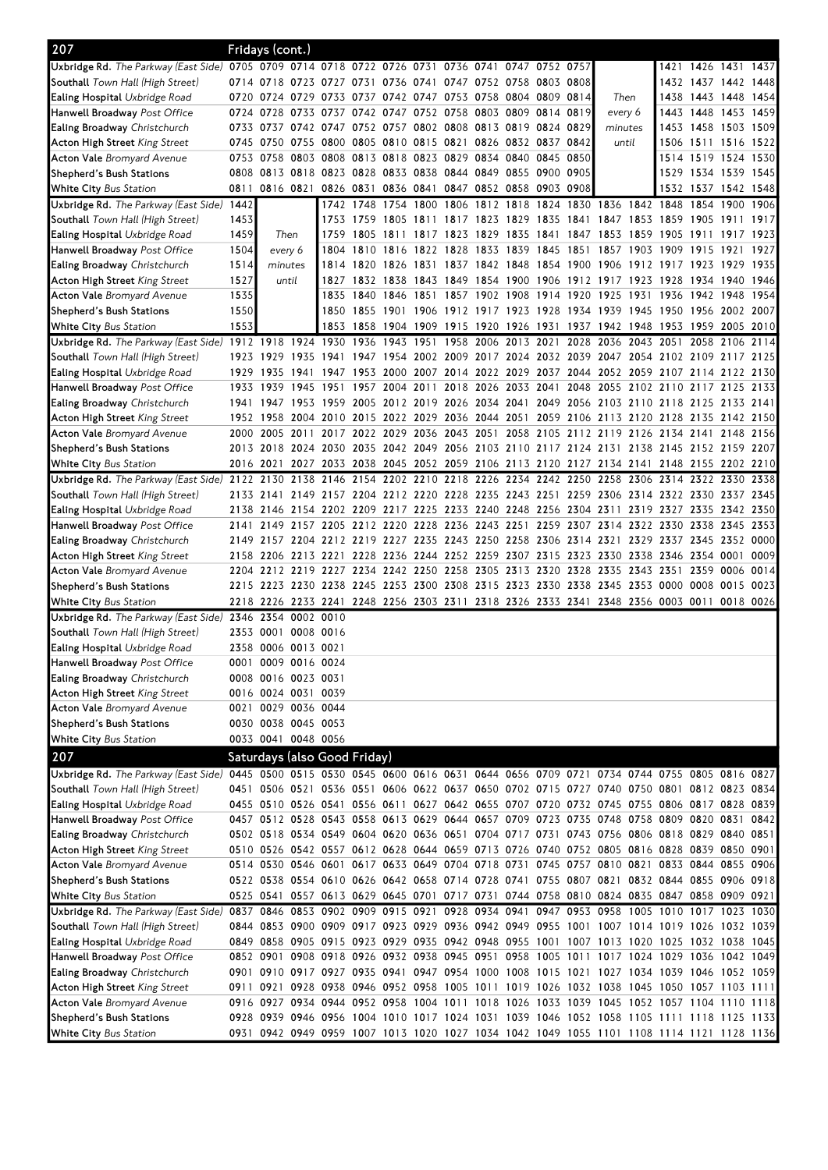| 207                                                                                                                            |              | Fridays (cont.)     |      |                                                             |                     |                                                   |  |                     |                                                                                                                                                                                        |      |                          |                                                         |      |
|--------------------------------------------------------------------------------------------------------------------------------|--------------|---------------------|------|-------------------------------------------------------------|---------------------|---------------------------------------------------|--|---------------------|----------------------------------------------------------------------------------------------------------------------------------------------------------------------------------------|------|--------------------------|---------------------------------------------------------|------|
| Uxbridge Rd. The Parkway (East Side) 0705 0709 0714 0718 0722 0726 0731 0736 0741 0747 0752 0757                               |              |                     |      |                                                             |                     |                                                   |  |                     |                                                                                                                                                                                        |      |                          | 1 <b>4</b> 21 1 <b>4</b> 26 1 <b>4</b> 31 1 <b>4</b> 37 |      |
| <b>Southall</b> Town Hall (High Street)                                                                                        |              |                     |      | 0714 0718 0723 0727 0731 0736 0741 0747 0752 0758 0803 0808 |                     |                                                   |  |                     |                                                                                                                                                                                        |      |                          | 1 <b>4</b> 32 1 <b>4</b> 37 1 <b>4</b> 42 1 <b>4</b> 48 |      |
| <b>Ealing Hospital</b> Uxbridge Road                                                                                           |              |                     |      | 0720 0724 0729 0733 0737 0742 0747 0753 0758 0804 0809 0814 |                     |                                                   |  |                     | Then                                                                                                                                                                                   |      |                          | 1 <b>4</b> 38 1 <b>4</b> 43 1 <b>4</b> 48 1 <b>4</b> 54 |      |
| Hanwell Broadway <i>Post Office</i>                                                                                            |              | 0724 0728           |      | 0733 0737                                                   |                     | 0742 0747 0752 0758 0803 0809 0814 0819           |  |                     | every 6                                                                                                                                                                                |      |                          | 1443 1448 1453 1459                                     |      |
| <b>Ealing Broadway</b> Christchurch                                                                                            |              |                     |      | 0733 0737 0742 0747 0752 0757 0802 0808 0813 0819 0824 0829 |                     |                                                   |  |                     | minutes                                                                                                                                                                                |      |                          | 1453 1458 1503 1509                                     |      |
| <b>Acton High Street</b> King Street                                                                                           |              |                     |      | 0745 0750 0755 0800 0805 0810 0815 0821 0826 0832 0837 0842 |                     |                                                   |  |                     | until                                                                                                                                                                                  |      |                          | 1506 1511 1516 1522                                     |      |
| <b>Acton Vale</b> Bromyard Avenue                                                                                              |              |                     |      | 0753 0758 0803 0808 0813 0818 0823 0829 0834                |                     |                                                   |  | 0840 0845 0850      |                                                                                                                                                                                        |      |                          | 1514 1519 1524 1530                                     |      |
| Shepherd's Bush Stations                                                                                                       |              |                     |      | 0808 0813 0818 0823 0828 0833 0838 0844 0849                |                     |                                                   |  | 0855 0900 0905      |                                                                                                                                                                                        |      |                          | 1529 1534 1539 1545                                     |      |
| <b>White City</b> Bus Station                                                                                                  | 0811         | 0816 0821           |      |                                                             | 0826 0831 0836 0841 | 0847 0852 0858 0903 0908                          |  |                     |                                                                                                                                                                                        |      |                          | 1532 1537 1542 1548                                     |      |
| Uxbridge Rd. The Parkway (East Side) 1442<br>Southall Town Hall (High Street)                                                  |              |                     |      |                                                             |                     |                                                   |  |                     | 1742 1748 1754 1800 1806 1812 1818 1824 1830 1836 1842 1848 1854 1900                                                                                                                  |      |                          |                                                         | 1906 |
| <b>Ealing Hospital</b> Uxbridge Road                                                                                           | 1453<br>1459 | Then                |      |                                                             |                     | 1759 1805 1811 1817 1823 1829                     |  |                     | 1753 1759 1805 1811 1817 1823 1829 1835 1841 1847 1853 1859 1905 1911<br>1835 1841 1847 1853 1859 1905 1911 1917 1923                                                                  |      |                          |                                                         | 1917 |
| <b>Hanwell Broadway</b> Post Office                                                                                            | 1504         | every 6             |      |                                                             |                     |                                                   |  |                     | 1804 1810 1816 1822 1828 1833 1839 1845 1851 1857 1903 1909 1915 1921                                                                                                                  |      |                          |                                                         | 1927 |
| <b>Ealing Broadway</b> Christchurch                                                                                            | 1514         | minutes             |      |                                                             |                     |                                                   |  |                     | 1814 1820 1826 1831 1837 1842 1848 1854 1900 1906 1912 1917 1923 1929 1935                                                                                                             |      |                          |                                                         |      |
| Acton High Street <i>King Street</i>                                                                                           | 1527         | until               |      |                                                             |                     |                                                   |  |                     | 1827 1832 1838 1843 1849 1854 1900 1906 1912 1917 1923 1928 1934 1940 1946                                                                                                             |      |                          |                                                         |      |
| <b>Acton Vale</b> Bromyard Avenue                                                                                              | 1535         |                     |      |                                                             |                     | 1835 1840 1846 1851 1857 1902 1908 1914 1920 1925 |  |                     |                                                                                                                                                                                        | 1931 | 1936 1942 1948           |                                                         | 1954 |
| Shepherd's Bush Stations                                                                                                       | 1550         |                     |      |                                                             |                     |                                                   |  |                     | 1850 1855 1901 1906 1912 1917 1923 1928 1934 1939 1945 1950 1956 2002 2007                                                                                                             |      |                          |                                                         |      |
| White City Bus Station                                                                                                         | 1553         |                     |      |                                                             |                     |                                                   |  |                     | 1853 1858 1904 1909 1915 1920 1926 1931 1937 1942 1948 1953 1959 2005 2010                                                                                                             |      |                          |                                                         |      |
| Uxbridge Rd. The Parkway (East Side) 1912 1918 1924 1930 1936 1943 1951 1958 2006 2013 2021 2028 2036 2043 2051 2058 2106 2114 |              |                     |      |                                                             |                     |                                                   |  |                     |                                                                                                                                                                                        |      |                          |                                                         |      |
| Southall Town Hall (High Street)                                                                                               |              | 1923 1929           |      |                                                             |                     |                                                   |  |                     | 1935 1941 1947 1954 2002 2009 2017 2024 2032 2039 2047 2054 2102 2109 2117 2125                                                                                                        |      |                          |                                                         |      |
| <b>Ealing Hospital</b> Uxbridge Road                                                                                           |              | 1929 1935           |      |                                                             |                     |                                                   |  |                     | 1941 1947 1953 2000 2007 2014 2022 2029 2037 2044 2052 2059 2107 2114 2122 2130                                                                                                        |      |                          |                                                         |      |
| <b>Hanwell Broadway</b> Post Office                                                                                            |              | 1933 1939           | 1945 | 1951                                                        |                     |                                                   |  |                     | 1957 2004 2011 2018 2026 2033 2041 2048 2055 2102 2110 2117 2125 2133                                                                                                                  |      |                          |                                                         |      |
| <b>Ealing Broadway</b> Christchurch                                                                                            |              |                     |      |                                                             |                     |                                                   |  |                     | 1941 1947 1953 1959 2005 2012 2019 2026 2034 2041 2049 2056 2103 2110 2118 2125 2133 2141                                                                                              |      |                          |                                                         |      |
| Acton High Street <i>King Street</i>                                                                                           |              |                     |      |                                                             |                     |                                                   |  |                     | 1952 1958 2004 2010 2015 2022 2029 2036 2044 2051 2059 2106 2113 2120 2128 2135 2142 2150                                                                                              |      |                          |                                                         |      |
| <b>Acton Vale</b> Bromyard Avenue                                                                                              |              |                     |      |                                                             |                     |                                                   |  |                     | 2000 2005 2011 2017 2022 2029 2036 2043 2051 2058 2105 2112 2119 2126 2134 2141 2148 2156                                                                                              |      |                          |                                                         |      |
| Shepherd's Bush Stations                                                                                                       |              |                     |      |                                                             |                     |                                                   |  |                     | 2013 2018 2024 2030 2035 2042 2049 2056 2103 2110 2117 2124 2131 2138 2145 2152 2159 2207                                                                                              |      |                          |                                                         |      |
| <b>White City</b> Bus Station                                                                                                  | 2016 2021    |                     |      |                                                             |                     |                                                   |  |                     | 2027 2033 2038 2045 2052 2059 2106 2113 2120 2127 2134 2141 2148 2155 2202 2210                                                                                                        |      |                          |                                                         |      |
| Uxbridge Rd. The Parkway (East Side) 2122 2130                                                                                 |              |                     |      |                                                             |                     |                                                   |  |                     | 2138 2146 2154 2202 2210 2218 2226 2234 2242 2250 2258 2306 2314 2322 2330 2338                                                                                                        |      |                          |                                                         |      |
| <b>Southall</b> Town Hall (High Street)                                                                                        |              |                     |      |                                                             |                     |                                                   |  |                     | 2133 2141 2149 2157 2204 2212 2220 2228 2235 2243 2251 2259 2306 2314 2322 2330 2337 2345                                                                                              |      |                          |                                                         |      |
| <b>Ealing Hospital</b> Uxbridge Road                                                                                           |              |                     |      |                                                             |                     |                                                   |  |                     | 2138 2146 2154 2202 2209 2217 2225 2233 2240 2248 2256 2304 2311 2319 2327 2335 2342 2350                                                                                              |      |                          |                                                         |      |
| <b>Hanwell Broadway</b> Post Office                                                                                            |              |                     |      |                                                             |                     |                                                   |  |                     | 2141 2149 2157 2205 2212 2220 2228 2236 2243 2251 2259 2307 2314 2322 2330 2338 2345 2353                                                                                              |      |                          |                                                         |      |
| <b>Ealing Broadway</b> Christchurch                                                                                            |              |                     |      |                                                             |                     |                                                   |  |                     | 2149 2157 2204 2212 2219 2227 2235 2243 2250 2258 2306 2314 2321 2329 2337 2345 2352 0000<br>2158 2206 2213 2221 2228 2236 2244 2252 2259 2307 2315 2323 2330 2338 2346 2354 0001      |      |                          |                                                         | 0009 |
| Acton High Street <i>King Street</i><br><b>Acton Vale</b> Bromyard Avenue                                                      |              |                     |      | 2204 2212 2219 2227 2234 2242 2250 2258 2305                |                     |                                                   |  | 2313 2320 2328 2335 |                                                                                                                                                                                        |      | 2343 2351 2359 0006 0014 |                                                         |      |
| Shepherd's Bush Stations                                                                                                       |              |                     |      |                                                             |                     |                                                   |  |                     | 2215 2223 2230 2238 2245 2253 2300 2308 2315 2323 2330 2338 2345 2353 0000 0008 0015 0023                                                                                              |      |                          |                                                         |      |
| White City Bus Station                                                                                                         |              |                     |      |                                                             |                     |                                                   |  |                     | 2218 2226 2233 2241 2248 2256 2303 2311 2318 2326 2333 2341 2348 2356 0003 0011 0018 0026                                                                                              |      |                          |                                                         |      |
| Uxbridge Rd. The Parkway (East Side) 2346 2354 0002 0010                                                                       |              |                     |      |                                                             |                     |                                                   |  |                     |                                                                                                                                                                                        |      |                          |                                                         |      |
| <b>Southall</b> Town Hall (High Street)                                                                                        |              | 2353 0001 0008 0016 |      |                                                             |                     |                                                   |  |                     |                                                                                                                                                                                        |      |                          |                                                         |      |
| <b>Ealing Hospital</b> Uxbridge Road                                                                                           |              | 2358 0006 0013 0021 |      |                                                             |                     |                                                   |  |                     |                                                                                                                                                                                        |      |                          |                                                         |      |
| Hanwell Broadway Post Office                                                                                                   |              | 0001 0009 0016 0024 |      |                                                             |                     |                                                   |  |                     |                                                                                                                                                                                        |      |                          |                                                         |      |
| <b>Ealing Broadway</b> Christchurch                                                                                            |              | 0008 0016 0023 0031 |      |                                                             |                     |                                                   |  |                     |                                                                                                                                                                                        |      |                          |                                                         |      |
| Acton High Street <i>King Street</i>                                                                                           |              | 0016 0024 0031 0039 |      |                                                             |                     |                                                   |  |                     |                                                                                                                                                                                        |      |                          |                                                         |      |
| <b>Acton Vale</b> Bromyard Avenue                                                                                              |              | 0021 0029 0036 0044 |      |                                                             |                     |                                                   |  |                     |                                                                                                                                                                                        |      |                          |                                                         |      |
| Shepherd's Bush Stations                                                                                                       |              | 0030 0038 0045 0053 |      |                                                             |                     |                                                   |  |                     |                                                                                                                                                                                        |      |                          |                                                         |      |
| <b>White City</b> Bus Station                                                                                                  |              | 0033 0041 0048 0056 |      |                                                             |                     |                                                   |  |                     |                                                                                                                                                                                        |      |                          |                                                         |      |
| 207                                                                                                                            |              |                     |      | Saturdays (also Good Friday)                                |                     |                                                   |  |                     |                                                                                                                                                                                        |      |                          |                                                         |      |
| Uxbridge Rd. The Parkway (East Side)                                                                                           |              |                     |      |                                                             |                     |                                                   |  |                     | 0445 0500 0515 0530 0545 0600 0616 0631 0644 0656 0709 0721 0734 0744 0755 0805 0816 0827                                                                                              |      |                          |                                                         |      |
| <b>Southall</b> Town Hall (High Street)                                                                                        |              |                     |      |                                                             |                     |                                                   |  |                     | 0451 0506 0521 0536 0551 0606 0622 0637 0650 0702 0715 0727 0740 0750 0801 0812 0823 0834                                                                                              |      |                          |                                                         |      |
| <b>Ealing Hospital</b> Uxbridge Road                                                                                           |              |                     |      |                                                             |                     |                                                   |  |                     | 0455 0510 0526 0541 0556 0611 0627 0642 0655 0707 0720 0732 0745 0755 0806 0817 0828 0839                                                                                              |      |                          |                                                         |      |
| <b>Hanwell Broadway</b> Post Office                                                                                            |              |                     |      |                                                             |                     |                                                   |  |                     | 0457 0512 0528 0543 0558 0613 0629 0644 0657 0709 0723 0735 0748 0758 0809 0820 0831 0842                                                                                              |      |                          |                                                         |      |
| <b>Ealing Broadway</b> Christchurch                                                                                            |              |                     |      |                                                             |                     |                                                   |  |                     | 0502 0518 0534 0549 0604 0620 0636 0651 0704 0717 0731 0743 0756 0806 0818 0829 0840 0851                                                                                              |      |                          |                                                         |      |
| <b>Acton High Street</b> King Street                                                                                           |              |                     |      |                                                             |                     |                                                   |  |                     | 0510 0526 0542 0557 0612 0628 0644 0659 0713 0726 0740 0752 0805 0816 0828 0839 0850 0901                                                                                              |      |                          |                                                         |      |
| <b>Acton Vale</b> Bromyard Avenue                                                                                              |              |                     |      |                                                             |                     |                                                   |  |                     | 0514 0530 0546 0601 0617 0633 0649 0704 0718 0731 0745 0757 0810 0821 0833 0844 0855 0906                                                                                              |      |                          |                                                         |      |
| Shepherd's Bush Stations                                                                                                       |              |                     |      |                                                             |                     |                                                   |  |                     | 0522 0538 0554 0610 0626 0642 0658 0714 0728 0741 0755 0807 0821 0832 0844 0855 0906 0918                                                                                              |      |                          |                                                         |      |
| <b>White City</b> Bus Station                                                                                                  |              |                     |      |                                                             |                     |                                                   |  |                     | 0525 0541 0557 0613 0629 0645 0701 0717 0731 0744 0758 0810 0824 0835 0847 0858 0909 0921                                                                                              |      |                          |                                                         |      |
| Uxbridge Rd. The Parkway (East Side)                                                                                           |              |                     |      |                                                             |                     |                                                   |  |                     | 0837 0846 0853 0902 0909 0915 0921 0928 0934 0941 0947 0953 0958 1005 1010 1017 1023 1030                                                                                              |      |                          |                                                         |      |
| <b>Southall</b> Town Hall (High Street)                                                                                        |              |                     |      |                                                             |                     |                                                   |  |                     | 0844 0853 0900 0909 0917 0923 0929 0936 0942 0949 0955 1001 1007 1014 1019 1026 1032 1039                                                                                              |      |                          |                                                         |      |
| <b>Ealing Hospital</b> Uxbridge Road                                                                                           |              |                     |      |                                                             |                     |                                                   |  |                     | 0849 0858 0905 0915 0923 0929 0935 0942 0948 0955 1001 1007 1013 1020 1025 1032 1038 1045                                                                                              |      |                          |                                                         |      |
| Hanwell Broadway Post Office                                                                                                   |              |                     |      |                                                             |                     |                                                   |  |                     | 0852 0901 0908 0918 0926 0932 0938 0945 0951 0958 1005 1011 1017 1024 1029 1036 1042 1049                                                                                              |      |                          |                                                         |      |
| <b>Ealing Broadway</b> Christchurch                                                                                            |              |                     |      |                                                             |                     |                                                   |  |                     | 0901 0910 0917 0927 0935 0941 0947 0954 1000 1008 1015 1021 1027 1034 1039 1046 1052 1059<br>0911 0921 0928 0938 0946 0952 0958 1005 1011 1019 1026 1032 1038 1045 1050 1057 1103 1111 |      |                          |                                                         |      |
| <b>Acton High Street</b> King Street<br><b>Acton Vale</b> Bromyard Avenue                                                      |              |                     |      |                                                             |                     |                                                   |  |                     | 0916 0927 0934 0944 0952 0958 1004 1011 1018 1026 1033 1039 1045 1052 1057 1104 1110 1118                                                                                              |      |                          |                                                         |      |
| Shepherd's Bush Stations                                                                                                       |              |                     |      |                                                             |                     |                                                   |  |                     | 0928 0939 0946 0956 1004 1010 1017 1024 1031 1039 1046 1052 1058 1105 1111 1118 1125 1133                                                                                              |      |                          |                                                         |      |
| White City Bus Station                                                                                                         |              |                     |      |                                                             |                     |                                                   |  |                     | 0931 0942 0949 0959 1007 1013 1020 1027 1034 1042 1049 1055 1101 1108 1114 1121 1128 1136                                                                                              |      |                          |                                                         |      |
|                                                                                                                                |              |                     |      |                                                             |                     |                                                   |  |                     |                                                                                                                                                                                        |      |                          |                                                         |      |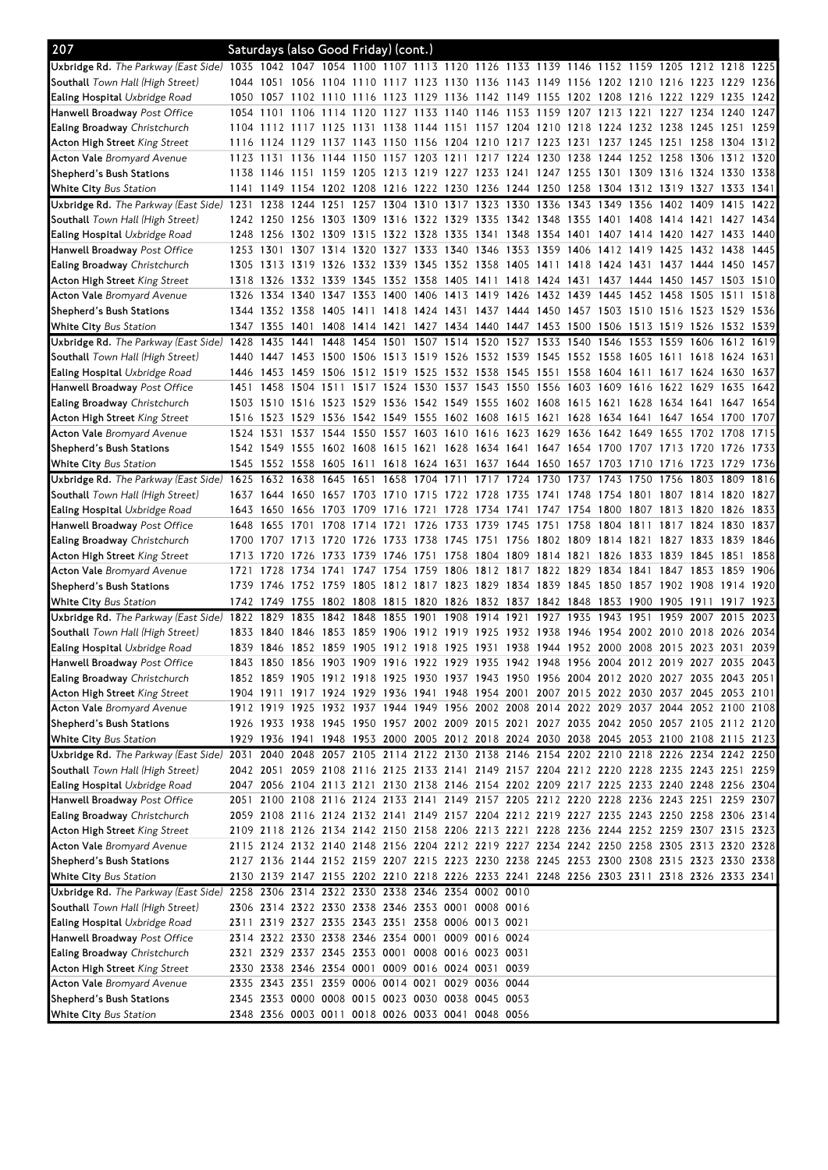| 207                                                                                                                            |           |                |      | Saturdays (also Good Friday) (cont.)              |                     |                |                               |  |                                                                                 |           |      |                |                                                                                           |           |      |
|--------------------------------------------------------------------------------------------------------------------------------|-----------|----------------|------|---------------------------------------------------|---------------------|----------------|-------------------------------|--|---------------------------------------------------------------------------------|-----------|------|----------------|-------------------------------------------------------------------------------------------|-----------|------|
| Uxbridge Rd. The Parkway (East Side) 1035 1042 1047 1054 1100 1107 1113 1120 1126 1133 1139 1146 1152 1159 1205 1212 1218 1225 |           |                |      |                                                   |                     |                |                               |  |                                                                                 |           |      |                |                                                                                           |           |      |
| <b>Southall</b> Town Hall (High Street)                                                                                        |           |                |      |                                                   |                     |                |                               |  |                                                                                 |           |      |                | 1044 1051 1056 1104 1110 1117 1123 1130 1136 1143 1149 1156 1202 1210 1216 1223 1229 1236 |           |      |
| <b>Ealing Hospital</b> Uxbridge Road                                                                                           |           |                |      |                                                   |                     |                |                               |  | 1050 1057 1102 1110 1116 1123 1129 1136 1142 1149 1155 1202 1208 1216 1222 1229 |           |      |                |                                                                                           | 1235      | 1242 |
| <b>Hanwell Broadway</b> Post Office                                                                                            | 1054 1101 |                |      |                                                   |                     |                |                               |  | 1106 1114 1120 1127 1133 1140 1146 1153 1159 1207 1213 1221                     |           |      |                | 1227 1234 1240                                                                            |           | 1247 |
| <b>Ealing Broadway</b> Christchurch                                                                                            |           |                |      |                                                   |                     |                |                               |  |                                                                                 |           |      |                | 1104 1112 1117 1125 1131 1138 1144 1151 1157 1204 1210 1218 1224 1232 1238 1245 1251 1259 |           |      |
| <b>Acton High Street</b> King Street                                                                                           |           |                |      |                                                   |                     |                |                               |  |                                                                                 |           |      |                | 1116 1124 1129 1137 1143 1150 1156 1204 1210 1217 1223 1231 1237 1245 1251 1258 1304 1312 |           |      |
| <b>Acton Vale</b> Bromyard Avenue                                                                                              |           |                |      |                                                   |                     |                |                               |  |                                                                                 |           |      |                | 1123 1131 1136 1144 1150 1157 1203 1211 1217 1224 1230 1238 1244 1252 1258 1306 1312 1320 |           |      |
| Shepherd's Bush Stations                                                                                                       |           | 1138 1146      |      |                                                   |                     |                |                               |  |                                                                                 |           |      |                | 1151 1159 1205 1213 1219 1227 1233 1241 1247 1255 1301 1309 1316 1324 1330 1338           |           |      |
| <b>White City Bus Station</b>                                                                                                  |           |                |      |                                                   |                     |                |                               |  |                                                                                 |           |      |                | 1141 1149 1154 1202 1208 1216 1222 1230 1236 1244 1250 1258 1304 1312 1319 1327 1333 1341 |           |      |
| Uxbridge Rd. The Parkway (East Side) 1231                                                                                      |           | 1238           |      |                                                   |                     |                |                               |  | 1244 1251 1257 1304 1310 1317 1323 1330 1336 1343                               | 1349 1356 |      | 1402 1409      |                                                                                           | 1415      | 1422 |
| <b>Southall</b> Town Hall (High Street)                                                                                        |           |                |      |                                                   |                     |                |                               |  |                                                                                 |           |      |                | 1242 1250 1256 1303 1309 1316 1322 1329 1335 1342 1348 1355 1401 1408 1414 1421 1427 1434 |           |      |
| Ealing Hospital Uxbridge Road                                                                                                  |           |                |      |                                                   |                     |                |                               |  |                                                                                 |           |      |                | 1248 1256 1302 1309 1315 1322 1328 1335 1341 1348 1354 1401 1407 1414 1420 1427 1433 1440 |           |      |
| <b>Hanwell Broadway</b> Post Office                                                                                            | 1253 1301 |                |      | 1307 1314 1320                                    |                     |                | 1327 1333 1340 1346           |  | 1353 1359 1406                                                                  |           |      |                | 1412 1419 1425 1432 1438                                                                  |           | 1445 |
| <b>Ealing Broadway</b> Christchurch                                                                                            |           | 1305 1313      |      |                                                   |                     |                |                               |  | 1319 1326 1332 1339 1345 1352 1358 1405 1411 1418                               | 1424 1431 |      |                | 1437 1444 1450                                                                            |           | 1457 |
| <b>Acton High Street</b> King Street                                                                                           | 1318 1326 |                |      |                                                   |                     |                |                               |  |                                                                                 |           |      |                | 1332 1339 1345 1352 1358 1405 1411 1418 1424 1431 1437 1444 1450 1457 1503 1510           |           |      |
| <b>Acton Vale</b> Bromyard Avenue                                                                                              | 1326      | 1334           | 1340 | 1347 1353                                         |                     |                |                               |  | 1400 1406 1413 1419 1426 1432 1439 1445                                         |           |      |                | 1452 1458 1505 1511                                                                       |           | 1518 |
| Shepherd's Bush Stations                                                                                                       |           |                |      |                                                   |                     |                |                               |  |                                                                                 |           |      |                | 1344 1352 1358 1405 1411 1418 1424 1431 1437 1444 1450 1457 1503 1510 1516 1523 1529 1536 |           |      |
| White City Bus Station                                                                                                         |           |                |      |                                                   |                     |                |                               |  |                                                                                 |           |      |                | 1347 1355 1401 1408 1414 1421 1427 1434 1440 1447 1453 1500 1506 1513 1519 1526 1532 1539 |           |      |
| Uxbridge Rd. The Parkway (East Side) 1428                                                                                      |           | 1435           | 1441 |                                                   |                     |                | 1448 1454 1501 1507 1514 1520 |  |                                                                                 |           |      |                | 1527 1533 1540 1546 1553 1559 1606 1612 1619                                              |           |      |
| Southall Town Hall (High Street)                                                                                               | 1440      | 1447           |      |                                                   |                     |                |                               |  | 1453 1500 1506 1513 1519 1526 1532 1539 1545 1552 1558 1605 1611 1618           |           |      |                |                                                                                           | 1624 1631 |      |
| <b>Ealing Hospital</b> Uxbridge Road                                                                                           | 1446 1453 |                |      | 1459 1506 1512 1519 1525 1532 1538                |                     |                |                               |  |                                                                                 |           |      |                | 1545 1551 1558 1604 1611 1617 1624 1630                                                   |           | 1637 |
| Hanwell Broadway Post Office                                                                                                   | 1451      | 1458           | 1504 | 1511                                              |                     | 1517 1524 1530 |                               |  | 1537 1543 1550 1556 1603                                                        | 1609 1616 |      | 1622 1629      |                                                                                           | 1635      | 1642 |
| Ealing Broadway Christchurch                                                                                                   |           |                |      |                                                   |                     |                |                               |  |                                                                                 |           |      |                | 1503 1510 1516 1523 1529 1536 1542 1549 1555 1602 1608 1615 1621 1628 1634 1641 1647 1654 |           |      |
| <b>Acton High Street</b> King Street                                                                                           |           |                |      |                                                   |                     |                |                               |  |                                                                                 |           |      |                | 1516 1523 1529 1536 1542 1549 1555 1602 1608 1615 1621 1628 1634 1641 1647 1654 1700 1707 |           |      |
| <b>Acton Vale</b> Bromyard Avenue                                                                                              | 1524 1531 |                |      |                                                   |                     |                |                               |  |                                                                                 |           |      |                | 1537 1544 1550 1557 1603 1610 1616 1623 1629 1636 1642 1649 1655 1702 1708                |           | 1715 |
| Shepherd's Bush Stations                                                                                                       | 1542 1549 |                |      |                                                   |                     |                |                               |  | 1555 1602 1608 1615 1621 1628 1634 1641 1647 1654 1700 1707 1713 1720           |           |      |                |                                                                                           | 1726 1733 |      |
| White City Bus Station                                                                                                         |           |                |      |                                                   |                     |                |                               |  |                                                                                 |           |      |                | 1545 1552 1558 1605 1611 1618 1624 1631 1637 1644 1650 1657 1703 1710 1716 1723 1729      |           | 1736 |
| Uxbridge Rd. The Parkway (East Side) 1625                                                                                      |           | 1632 1638      |      |                                                   |                     |                |                               |  | 1645 1651 1658 1704 1711 1717 1724 1730 1737 1743 1750                          |           |      |                | 1756 1803 1809                                                                            |           | 1816 |
| Southall Town Hall (High Street)                                                                                               |           |                |      |                                                   |                     |                |                               |  |                                                                                 |           |      |                | 1637 1644 1650 1657 1703 1710 1715 1722 1728 1735 1741 1748 1754 1801 1807 1814 1820 1827 |           |      |
| <b>Ealing Hospital</b> Uxbridge Road                                                                                           | 1643      | 1650           |      |                                                   |                     |                |                               |  | 1656 1703 1709 1716 1721 1728 1734 1741 1747 1754 1800 1807 1813 1820           |           |      |                |                                                                                           | 1826      | 1833 |
| <b>Hanwell Broadway</b> Post Office                                                                                            |           | 1648 1655      | 1701 | 1708 1714 1721                                    |                     |                |                               |  | 1726 1733 1739 1745 1751 1758 1804 1811                                         |           |      |                | 1817 1824 1830                                                                            |           | 1837 |
| Ealing Broadway Christchurch                                                                                                   |           | 1700 1707 1713 |      | 1720 1726                                         |                     |                |                               |  | 1733 1738 1745 1751 1756 1802 1809 1814 1821                                    |           |      |                | 1827 1833 1839 1846                                                                       |           |      |
| Acton High Street <i>King Street</i>                                                                                           | 1713 1720 |                | 1726 | 1733 1739                                         |                     | 1746           |                               |  | 1751 1758 1804 1809 1814 1821                                                   | 1826      | 1833 | 1839 1845      |                                                                                           | 1851      | 1858 |
| <b>Acton Vale</b> Bromyard Avenue                                                                                              | 1721      | 1728           | 1734 | 1741                                              |                     | 1747 1754 1759 |                               |  | 1806 1812 1817 1822 1829                                                        | 1834 1841 |      | 1847 1853      |                                                                                           | 1859      | 1906 |
| Shepherd's Bush Stations                                                                                                       | 1739 1746 |                |      |                                                   |                     |                |                               |  |                                                                                 |           |      |                | 1752 1759 1805 1812 1817 1823 1829 1834 1839 1845 1850 1857 1902 1908 1914 1920           |           |      |
| White City Bus Station                                                                                                         |           |                |      |                                                   |                     |                |                               |  |                                                                                 |           |      |                | 1742 1749 1755 1802 1808 1815 1820 1826 1832 1837 1842 1848 1853 1900 1905 1911 1917 1923 |           |      |
| Uxbridge Rd. The Parkway (East Side) 1822 1829                                                                                 |           |                | 1835 |                                                   | 1842 1848 1855 1901 |                | 1908 1914 1921                |  | 1927 1935                                                                       | 1943 1951 |      |                | 1959 2007 2015                                                                            |           | 2023 |
| <b>Southall</b> Town Hall (High Street)                                                                                        | 1833 1840 |                | 1846 | 1853 1859                                         |                     | 1906           | 1912 1919 1925                |  | 1932 1938 1946                                                                  | 1954      |      | 2002 2010 2018 |                                                                                           | 2026      | 2034 |
| <b>Ealing Hospital</b> Uxbridge Road                                                                                           |           |                |      |                                                   |                     |                |                               |  |                                                                                 |           |      |                | 1839 1846 1852 1859 1905 1912 1918 1925 1931 1938 1944 1952 2000 2008 2015 2023 2031 2039 |           |      |
| Hanwell Broadway Post Office                                                                                                   |           |                |      |                                                   |                     |                |                               |  |                                                                                 |           |      |                | 1843 1850 1856 1903 1909 1916 1922 1929 1935 1942 1948 1956 2004 2012 2019 2027 2035 2043 |           |      |
| <b>Ealing Broadway</b> Christchurch                                                                                            |           |                |      |                                                   |                     |                |                               |  |                                                                                 |           |      |                | 1852 1859 1905 1912 1918 1925 1930 1937 1943 1950 1956 2004 2012 2020 2027 2035 2043 2051 |           |      |
| <b>Acton High Street</b> King Street                                                                                           |           |                |      |                                                   |                     |                |                               |  |                                                                                 |           |      |                | 1904 1911 1917 1924 1929 1936 1941 1948 1954 2001 2007 2015 2022 2030 2037 2045 2053 2101 |           |      |
| <b>Acton Vale</b> Bromyard Avenue                                                                                              |           |                |      |                                                   |                     |                |                               |  |                                                                                 |           |      |                | 1912 1919 1925 1932 1937 1944 1949 1956 2002 2008 2014 2022 2029 2037 2044 2052 2100 2108 |           |      |
| Shepherd's Bush Stations                                                                                                       |           |                |      |                                                   |                     |                |                               |  |                                                                                 |           |      |                | 1926 1933 1938 1945 1950 1957 2002 2009 2015 2021 2027 2035 2042 2050 2057 2105 2112 2120 |           |      |
| White City Bus Station                                                                                                         |           |                |      |                                                   |                     |                |                               |  |                                                                                 |           |      |                | 1929 1936 1941 1948 1953 2000 2005 2012 2018 2024 2030 2038 2045 2053 2100 2108 2115 2123 |           |      |
| Uxbridge Rd. The Parkway (East Side) 2031 2040 2048 2057 2105 2114 2122 2130 2138 2146 2154 2202 2210 2218 2226 2234 2242 2250 |           |                |      |                                                   |                     |                |                               |  |                                                                                 |           |      |                |                                                                                           |           |      |
| <b>Southall</b> Town Hall (High Street)                                                                                        |           |                |      |                                                   |                     |                |                               |  |                                                                                 |           |      |                | 2042 2051 2059 2108 2116 2125 2133 2141 2149 2157 2204 2212 2220 2228 2235 2243 2251 2259 |           |      |
| <b>Ealing Hospital</b> Uxbridge Road                                                                                           |           |                |      |                                                   |                     |                |                               |  |                                                                                 |           |      |                | 2047 2056 2104 2113 2121 2130 2138 2146 2154 2202 2209 2217 2225 2233 2240 2248 2256 2304 |           |      |
| <b>Hanwell Broadway</b> Post Office                                                                                            |           |                |      |                                                   |                     |                |                               |  |                                                                                 |           |      |                | 2051 2100 2108 2116 2124 2133 2141 2149 2157 2205 2212 2220 2228 2236 2243 2251 2259 2307 |           |      |
| Ealing Broadway Christchurch                                                                                                   |           |                |      |                                                   |                     |                |                               |  |                                                                                 |           |      |                | 2059 2108 2116 2124 2132 2141 2149 2157 2204 2212 2219 2227 2235 2243 2250 2258 2306 2314 |           |      |
| <b>Acton High Street</b> King Street                                                                                           |           |                |      |                                                   |                     |                |                               |  |                                                                                 |           |      |                | 2109 2118 2126 2134 2142 2150 2158 2206 2213 2221 2228 2236 2244 2252 2259 2307 2315 2323 |           |      |
| <b>Acton Vale</b> Bromyard Avenue                                                                                              |           |                |      |                                                   |                     |                |                               |  |                                                                                 |           |      |                | 2115 2124 2132 2140 2148 2156 2204 2212 2219 2227 2234 2242 2250 2258 2305 2313 2320 2328 |           |      |
| Shepherd's Bush Stations                                                                                                       |           |                |      |                                                   |                     |                |                               |  |                                                                                 |           |      |                | 2127 2136 2144 2152 2159 2207 2215 2223 2230 2238 2245 2253 2300 2308 2315 2323 2330 2338 |           |      |
| <b>White City</b> Bus Station                                                                                                  |           |                |      |                                                   |                     |                |                               |  |                                                                                 |           |      |                | 2130 2139 2147 2155 2202 2210 2218 2226 2233 2241 2248 2256 2303 2311 2318 2326 2333 2341 |           |      |
| Uxbridge Rd. The Parkway (East Side) 2258 2306 2314 2322 2330 2338 2346 2354 0002 0010                                         |           |                |      |                                                   |                     |                |                               |  |                                                                                 |           |      |                |                                                                                           |           |      |
| <b>Southall</b> Town Hall (High Street)                                                                                        |           |                |      | 2306 2314 2322 2330 2338 2346 2353 0001 0008 0016 |                     |                |                               |  |                                                                                 |           |      |                |                                                                                           |           |      |
| <b>Ealing Hospital</b> Uxbridge Road                                                                                           |           |                |      | 2311 2319 2327 2335 2343 2351 2358 0006 0013 0021 |                     |                |                               |  |                                                                                 |           |      |                |                                                                                           |           |      |
| <b>Hanwell Broadway</b> Post Office                                                                                            |           |                |      | 2314 2322 2330 2338 2346 2354 0001 0009 0016 0024 |                     |                |                               |  |                                                                                 |           |      |                |                                                                                           |           |      |
| <b>Ealing Broadway</b> Christchurch                                                                                            |           |                |      | 2321 2329 2337 2345 2353 0001 0008 0016 0023 0031 |                     |                |                               |  |                                                                                 |           |      |                |                                                                                           |           |      |
| Acton High Street King Street                                                                                                  |           |                |      | 2330 2338 2346 2354 0001 0009 0016 0024 0031 0039 |                     |                |                               |  |                                                                                 |           |      |                |                                                                                           |           |      |
| <b>Acton Vale</b> Bromyard Avenue                                                                                              |           |                |      | 2335 2343 2351 2359 0006 0014 0021 0029 0036 0044 |                     |                |                               |  |                                                                                 |           |      |                |                                                                                           |           |      |
| Shepherd's Bush Stations                                                                                                       |           |                |      | 2345 2353 0000 0008 0015 0023 0030 0038 0045 0053 |                     |                |                               |  |                                                                                 |           |      |                |                                                                                           |           |      |
| <b>White City</b> Bus Station                                                                                                  |           |                |      | 2348 2356 0003 0011 0018 0026 0033 0041 0048 0056 |                     |                |                               |  |                                                                                 |           |      |                |                                                                                           |           |      |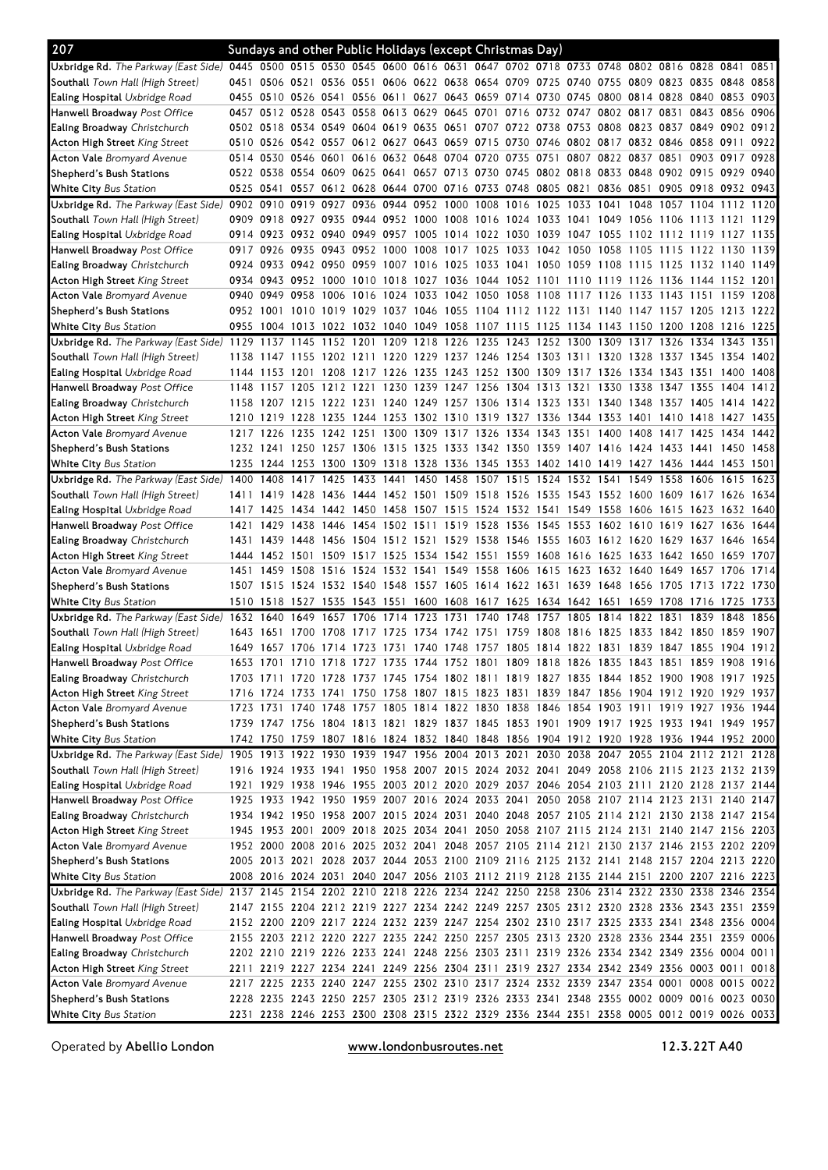| 207                                                                                                                            |           |                |                |                | Sundays and other Public Holidays (except Christmas Day)                                                                                                                               |  |                                              |           |      |                                    |                     |           |              |
|--------------------------------------------------------------------------------------------------------------------------------|-----------|----------------|----------------|----------------|----------------------------------------------------------------------------------------------------------------------------------------------------------------------------------------|--|----------------------------------------------|-----------|------|------------------------------------|---------------------|-----------|--------------|
| Uxbridge Rd. The Parkway (East Side) 0445 0500 0515 0530 0545 0600 0616 0631 0647 0702 0718 0733 0748 0802 0816 0828 0841 0851 |           |                |                |                |                                                                                                                                                                                        |  |                                              |           |      |                                    |                     |           |              |
| <b>Southall</b> Town Hall (High Street)                                                                                        |           |                |                |                | 0451 0506 0521 0536 0551 0606 0622 0638 0654 0709 0725 0740 0755 0809 0823 0835 0848                                                                                                   |  |                                              |           |      |                                    |                     |           | 0858         |
| <b>Ealing Hospital</b> Uxbridge Road                                                                                           |           |                |                |                | 0455 0510 0526 0541 0556 0611 0627 0643 0659 0714 0730 0745 0800 0814 0828 0840 0853 0903                                                                                              |  |                                              |           |      |                                    |                     |           |              |
| Hanwell Broadway <i>Post Office</i>                                                                                            |           |                |                |                | 0457 0512 0528 0543 0558 0613 0629 0645 0701 0716 0732 0747 0802 0817                                                                                                                  |  |                                              |           |      | 0831 0843 0856 0906                |                     |           |              |
| <b>Ealing Broadway</b> Christchurch                                                                                            |           | 0502 0518      |                |                | 0534 0549 0604 0619 0635 0651 0707 0722 0738 0753 0808 0823 0837 0849 0902 0912                                                                                                        |  |                                              |           |      |                                    |                     |           |              |
| Acton High Street King Street                                                                                                  |           |                |                |                | 0510 0526 0542 0557 0612 0627 0643 0659 0715 0730 0746 0802 0817 0832 0846 0858 0911                                                                                                   |  |                                              |           |      |                                    |                     |           | 0922         |
| <b>Acton Vale</b> Bromyard Avenue                                                                                              |           | 0514 0530      | 0546 0601      |                | 0616 0632 0648 0704 0720                                                                                                                                                               |  | 0735 0751                                    |           |      | 0807 0822 0837 0851 0903 0917 0928 |                     |           |              |
| Shepherd's Bush Stations                                                                                                       |           | 0522 0538      |                |                | 0554 0609 0625 0641 0657 0713 0730 0745 0802 0818 0833 0848 0902 0915 0929                                                                                                             |  |                                              |           |      |                                    |                     |           | 0940         |
| <b>White City</b> Bus Station                                                                                                  | 0525 0541 |                |                |                | 0557 0612 0628 0644 0700 0716 0733 0748 0805 0821 0836 0851                                                                                                                            |  |                                              |           |      |                                    | 0905 0918 0932 0943 |           |              |
| Uxbridge Rd. The Parkway (East Side) 0902 0910                                                                                 |           |                |                |                | 0919 0927 0936 0944 0952 1000 1008                                                                                                                                                     |  | 1016 1025 1033 1041 1048 1057 1104 1112 1120 |           |      |                                    |                     |           |              |
| Southall Town Hall (High Street)                                                                                               |           | 0909 0918      |                |                | 0927 0935 0944 0952 1000 1008 1016 1024 1033 1041 1049 1056 1106 1113 1121                                                                                                             |  |                                              |           |      |                                    |                     |           | 1129         |
| <b>Ealing Hospital</b> Uxbridge Road                                                                                           | 0917 0926 |                |                |                | 0914 0923 0932 0940 0949 0957 1005 1014 1022 1030 1039 1047 1055 1102 1112 1119 1127 1135<br>0935 0943 0952 1000 1008 1017 1025 1033 1042 1050 1058 1105 1115 1122 1130                |  |                                              |           |      |                                    |                     |           | 1139         |
| <b>Hanwell Broadway</b> Post Office<br><b>Ealing Broadway</b> Christchurch                                                     |           |                |                |                | 0924 0933 0942 0950 0959 1007 1016 1025 1033 1041 1050 1059 1108 1115 1125 1132 1140 1149                                                                                              |  |                                              |           |      |                                    |                     |           |              |
| Acton High Street <i>King Street</i>                                                                                           |           |                |                |                | 0934 0943 0952 1000 1010 1018 1027 1036 1044 1052 1101 1110 1119 1126 1136 1144 1152 1201                                                                                              |  |                                              |           |      |                                    |                     |           |              |
| <b>Acton Vale</b> Bromyard Avenue                                                                                              |           | 0940 0949      | 0958           |                | 1006 1016 1024 1033 1042 1050 1058 1108 1117 1126 1133 1143 1151 1159 1208                                                                                                             |  |                                              |           |      |                                    |                     |           |              |
| Shepherd's Bush Stations                                                                                                       |           | 0952 1001 1010 |                |                | 1019 1029 1037 1046 1055 1104 1112 1122 1131 1140 1147 1157 1205 1213 1222                                                                                                             |  |                                              |           |      |                                    |                     |           |              |
| White City Bus Station                                                                                                         |           |                |                |                | 0955 1004 1013 1022 1032 1040 1049 1058 1107 1115 1125 1134 1143 1150 1200 1208 1216 1225                                                                                              |  |                                              |           |      |                                    |                     |           |              |
| Uxbridge Rd. The Parkway (East Side) 1129 1137 1145 1152 1201 1209 1218 1226 1235 1243 1252 1300 1309 1317 1326 1334 1343 1351 |           |                |                |                |                                                                                                                                                                                        |  |                                              |           |      |                                    |                     |           |              |
| Southall Town Hall (High Street)                                                                                               |           |                |                |                | 1138 1147 1155 1202 1211 1220 1229 1237 1246 1254 1303 1311 1320 1328 1337 1345 1354 1402                                                                                              |  |                                              |           |      |                                    |                     |           |              |
| <b>Ealing Hospital</b> Uxbridge Road                                                                                           |           |                |                |                | 1144 1153 1201 1208 1217 1226 1235 1243 1252 1300 1309 1317 1326 1334 1343 1351                                                                                                        |  |                                              |           |      |                                    |                     | 1400      | 1408         |
| <b>Hanwell Broadway</b> Post Office                                                                                            |           | 1148 1157 1205 |                |                | 1212 1221 1230 1239 1247 1256 1304 1313 1321                                                                                                                                           |  |                                              | 1330 1338 |      | 1347 1355                          |                     | 1404      | 1412         |
| <b>Ealing Broadway</b> Christchurch                                                                                            |           |                |                |                | 1158 1207 1215 1222 1231 1240 1249 1257 1306 1314 1323 1331 1340 1348 1357 1405 1414 1422                                                                                              |  |                                              |           |      |                                    |                     |           |              |
| Acton High Street <i>King Street</i>                                                                                           |           |                |                |                | 1210 1219 1228 1235 1244 1253 1302 1310 1319 1327 1336 1344 1353 1401                                                                                                                  |  |                                              |           |      | 1410 1418 1427 1435                |                     |           |              |
| <b>Acton Vale</b> Bromyard Avenue                                                                                              |           | 1217 1226      |                |                | 1235 1242 1251 1300 1309 1317 1326 1334 1343 1351                                                                                                                                      |  |                                              |           |      | 1400 1408 1417 1425                |                     | 1434      | 1442         |
| Shepherd's Bush Stations                                                                                                       |           |                |                |                | 1232 1241 1250 1257 1306 1315 1325 1333 1342 1350 1359 1407 1416 1424 1433 1441 1450 1458                                                                                              |  |                                              |           |      |                                    |                     |           |              |
| <b>White City</b> Bus Station                                                                                                  |           |                |                |                | 1235 1244 1253 1300 1309 1318 1328 1336 1345 1353 1402 1410 1419 1427 1436 1444 1453 1501                                                                                              |  |                                              |           |      |                                    |                     |           |              |
| Uxbridge Rd. The Parkway (East Side) 1400                                                                                      |           | 1408           | 1417           |                | 1425 1433 1441 1450 1458 1507 1515 1524 1532 1541                                                                                                                                      |  |                                              |           | 1549 | 1558 1606 1615                     |                     |           | 1623         |
| Southall Town Hall (High Street)                                                                                               |           | 1411 1419      | 1428           |                | 1436 1444 1452 1501 1509 1518 1526 1535 1543 1552 1600 1609 1617 1626                                                                                                                  |  |                                              |           |      |                                    |                     |           | 1634         |
| <b>Ealing Hospital</b> Uxbridge Road                                                                                           |           | 1417 1425      |                |                | 1434 1442 1450 1458 1507 1515 1524 1532 1541 1549 1558 1606 1615 1623 1632 1640                                                                                                        |  |                                              |           |      |                                    |                     |           |              |
| <b>Hanwell Broadway</b> Post Office                                                                                            |           | 1421 1429      |                |                | 1438 1446 1454 1502 1511 1519 1528 1536 1545 1553 1602 1610 1619 1627 1636 1644                                                                                                        |  |                                              |           |      |                                    |                     |           |              |
| <b>Ealing Broadway</b> Christchurch                                                                                            |           |                |                |                | 1431 1439 1448 1456 1504 1512 1521 1529 1538 1546 1555 1603 1612 1620 1629 1637 1646 1654                                                                                              |  |                                              |           |      |                                    |                     |           |              |
| Acton High Street <i>King Street</i>                                                                                           | 1444      |                |                |                | 1452 1501 1509 1517 1525 1534 1542 1551 1559 1608 1616 1625 1633 1642 1650                                                                                                             |  |                                              |           |      |                                    |                     | 1659 1707 |              |
| <b>Acton Vale</b> Bromyard Avenue                                                                                              |           | 1451 1459      | 1508 1516 1524 |                | 1532 1541 1549 1558                                                                                                                                                                    |  | 1606 1615 1623 1632 1640 1649 1657 1706      |           |      |                                    |                     |           | 1714         |
| Shepherd's Bush Stations                                                                                                       |           | 1507 1515      |                |                | 1524 1532 1540 1548 1557 1605 1614 1622 1631 1639 1648 1656 1705 1713 1722                                                                                                             |  |                                              |           |      |                                    |                     |           | 1730         |
| White City Bus Station                                                                                                         |           | 1510 1518      | 1649 1657      |                | 1527 1535 1543 1551 1600 1608 1617 1625 1634 1642 1651 1659 1708 1716 1725<br>1706 1714 1723 1731 1740 1748 1757 1805                                                                  |  |                                              |           |      | 1814 1822 1831 1839                |                     | 1848      | 1733<br>1856 |
| Uxbridge Rd. The Parkway (East Side) 1632 1640<br><b>Southall</b> Town Hall (High Street)                                      | 1643      | 1651 1700      |                | 1708 1717 1725 | 1734 1742 1751 1759 1808 1816 1825                                                                                                                                                     |  |                                              |           |      | 1833 1842 1850 1859 1907           |                     |           |              |
| <b>Ealing Hospital</b> Uxbridge Road                                                                                           |           |                |                |                | 1649 1657 1706 1714 1723 1731 1740 1748 1757 1805 1814 1822 1831 1839 1847 1855 1904 1912                                                                                              |  |                                              |           |      |                                    |                     |           |              |
| Hanwell Broadway Post Office                                                                                                   |           |                |                |                | 1653 1701 1710 1718 1727 1735 1744 1752 1801 1809 1818 1826 1835 1843 1851 1859 1908 1916                                                                                              |  |                                              |           |      |                                    |                     |           |              |
| <b>Ealing Broadway</b> Christchurch                                                                                            |           |                |                |                | 1703 1711 1720 1728 1737 1745 1754 1802 1811 1819 1827 1835 1844 1852 1900 1908 1917 1925                                                                                              |  |                                              |           |      |                                    |                     |           |              |
| Acton High Street King Street                                                                                                  |           |                |                |                | 1716 1724 1733 1741 1750 1758 1807 1815 1823 1831 1839 1847 1856 1904 1912 1920 1929 1937                                                                                              |  |                                              |           |      |                                    |                     |           |              |
| <b>Acton Vale</b> Bromyard Avenue                                                                                              |           |                |                |                | 1723 1731 1740 1748 1757 1805 1814 1822 1830 1838 1846 1854 1903 1911 1919 1927 1936 1944                                                                                              |  |                                              |           |      |                                    |                     |           |              |
| Shepherd's Bush Stations                                                                                                       |           |                |                |                | 1739 1747 1756 1804 1813 1821 1829 1837 1845 1853 1901 1909 1917 1925 1933 1941 1949 1957                                                                                              |  |                                              |           |      |                                    |                     |           |              |
| <b>White City Bus Station</b>                                                                                                  |           |                |                |                | 1742 1750 1759 1807 1816 1824 1832 1840 1848 1856 1904 1912 1920 1928 1936 1944 1952 2000                                                                                              |  |                                              |           |      |                                    |                     |           |              |
| Uxbridge Rd. The Parkway (East Side) 1905 1913 1922 1930 1939 1947 1956 2004 2013 2021 2030 2038 2047 2055 2104 2112 2121 2128 |           |                |                |                |                                                                                                                                                                                        |  |                                              |           |      |                                    |                     |           |              |
| <b>Southall</b> Town Hall (High Street)                                                                                        |           |                |                |                | 1916 1924 1933 1941 1950 1958 2007 2015 2024 2032 2041 2049 2058 2106 2115 2123 2132 2139                                                                                              |  |                                              |           |      |                                    |                     |           |              |
| <b>Ealing Hospital</b> Uxbridge Road                                                                                           |           |                |                |                | 1921 1929 1938 1946 1955 2003 2012 2020 2029 2037 2046 2054 2103 2111 2120 2128 2137 2144                                                                                              |  |                                              |           |      |                                    |                     |           |              |
| Hanwell Broadway Post Office                                                                                                   |           |                |                |                | 1925 1933 1942 1950 1959 2007 2016 2024 2033 2041 2050 2058 2107 2114 2123 2131 2140 2147                                                                                              |  |                                              |           |      |                                    |                     |           |              |
| <b>Ealing Broadway</b> Christchurch                                                                                            |           |                |                |                | 1934 1942 1950 1958 2007 2015 2024 2031 2040 2048 2057 2105 2114 2121 2130 2138 2147 2154                                                                                              |  |                                              |           |      |                                    |                     |           |              |
| <b>Acton High Street</b> King Street                                                                                           |           |                |                |                | 1945 1953 2001 2009 2018 2025 2034 2041 2050 2058 2107 2115 2124 2131 2140 2147 2156 2203                                                                                              |  |                                              |           |      |                                    |                     |           |              |
| <b>Acton Vale</b> Bromyard Avenue                                                                                              |           |                |                |                | 1952 2000 2008 2016 2025 2032 2041 2048 2057 2105 2114 2121 2130 2137 2146 2153 2202 2209                                                                                              |  |                                              |           |      |                                    |                     |           |              |
| Shepherd's Bush Stations                                                                                                       |           |                |                |                | 2005 2013 2021 2028 2037 2044 2053 2100 2109 2116 2125 2132 2141 2148 2157 2204 2213 2220                                                                                              |  |                                              |           |      |                                    |                     |           |              |
| <b>White City</b> Bus Station                                                                                                  |           |                |                |                | 2008 2016 2024 2031 2040 2047 2056 2103 2112 2119 2128 2135 2144 2151 2200 2207 2216 2223                                                                                              |  |                                              |           |      |                                    |                     |           |              |
| Uxbridge Rd. The Parkway (East Side)                                                                                           |           |                |                |                | 2137 2145 2154 2202 2210 2218 2226 2234 2242 2250 2258 2306 2314 2322 2330 2338 2346 2354                                                                                              |  |                                              |           |      |                                    |                     |           |              |
| <b>Southall</b> Town Hall (High Street)                                                                                        |           |                |                |                | 2147 2155 2204 2212 2219 2227 2234 2242 2249 2257 2305 2312 2320 2328 2336 2343 2351 2359                                                                                              |  |                                              |           |      |                                    |                     |           |              |
| <b>Ealing Hospital</b> Uxbridge Road                                                                                           |           |                |                |                | 2152 2200 2209 2217 2224 2232 2239 2247 2254 2302 2310 2317 2325 2333 2341 2348 2356 0004                                                                                              |  |                                              |           |      |                                    |                     |           |              |
| Hanwell Broadway <i>Post Office</i>                                                                                            |           |                |                |                | 2155 2203 2212 2220 2227 2235 2242 2250 2257 2305 2313 2320 2328 2336 2344 2351 2359 0006                                                                                              |  |                                              |           |      |                                    |                     |           |              |
| <b>Ealing Broadway</b> Christchurch                                                                                            |           |                |                |                | 2202 2210 2219 2226 2233 2241 2248 2256 2303 2311 2319 2326 2334 2342 2349 2356 0004 0011                                                                                              |  |                                              |           |      |                                    |                     |           |              |
| Acton High Street King Street                                                                                                  |           |                |                |                | 2211 2219 2227 2234 2241 2249 2256 2304 2311 2319 2327 2334 2342 2349 2356 0003 0011 0018<br>2217 2225 2233 2240 2247 2255 2302 2310 2317 2324 2332 2339 2347 2354 0001 0008 0015 0022 |  |                                              |           |      |                                    |                     |           |              |
| <b>Acton Vale</b> Bromyard Avenue<br>Shepherd's Bush Stations                                                                  |           |                |                |                | 2228 2235 2243 2250 2257 2305 2312 2319 2326 2333 2341 2348 2355 0002 0009 0016 0023 0030                                                                                              |  |                                              |           |      |                                    |                     |           |              |
| <b>White City</b> Bus Station                                                                                                  |           |                |                |                | 2231 2238 2246 2253 2300 2308 2315 2322 2329 2336 2344 2351 2358 0005 0012 0019 0026 0033                                                                                              |  |                                              |           |      |                                    |                     |           |              |
|                                                                                                                                |           |                |                |                |                                                                                                                                                                                        |  |                                              |           |      |                                    |                     |           |              |

Operated by Abellio London **WWW.londonbusroutes.net** 12.3.22T A40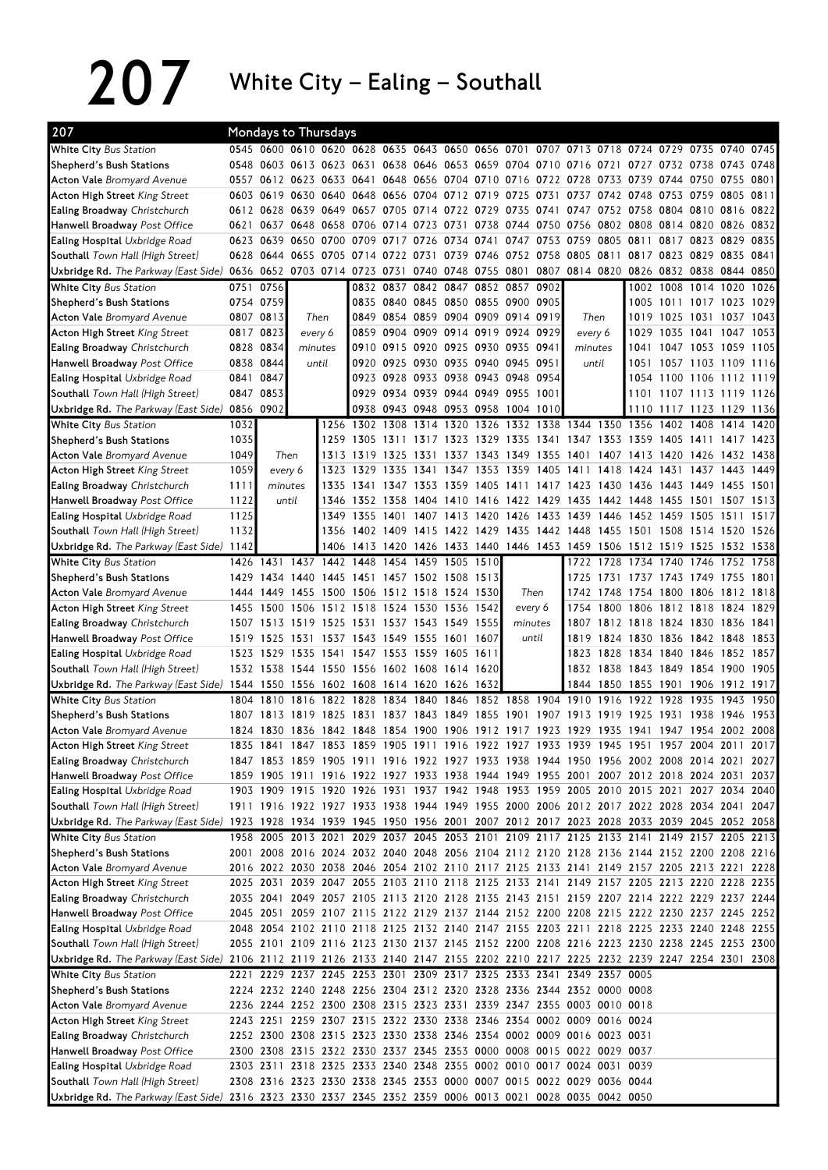$207$  White City – Ealing – Southall

| 207                                                                                                                            |           |           | Mondays to Thursdays     |                |                                                                                           |           |                          |                |           |                                    |           |                                                                       |                |                                                                     |                          |                     |           |      |
|--------------------------------------------------------------------------------------------------------------------------------|-----------|-----------|--------------------------|----------------|-------------------------------------------------------------------------------------------|-----------|--------------------------|----------------|-----------|------------------------------------|-----------|-----------------------------------------------------------------------|----------------|---------------------------------------------------------------------|--------------------------|---------------------|-----------|------|
| <b>White City Bus Station</b>                                                                                                  |           |           |                          |                | 0545 0600 0610 0620 0628 0635 0643 0650 0656 0701 0707 0713 0718 0724 0729 0735 0740      |           |                          |                |           |                                    |           |                                                                       |                |                                                                     |                          |                     |           | 0745 |
| Shepherd's Bush Stations                                                                                                       |           |           |                          |                | 0548 0603 0613 0623 0631 0638 0646 0653 0659 0704 0710 0716 0721 0727 0732 0738 0743 0748 |           |                          |                |           |                                    |           |                                                                       |                |                                                                     |                          |                     |           |      |
| <b>Acton Vale</b> Bromyard Avenue                                                                                              |           |           |                          |                | 0557 0612 0623 0633 0641 0648 0656 0704 0710 0716 0722 0728                               |           |                          |                |           |                                    |           |                                                                       | 0733 0739      |                                                                     | 0744 0750 0755 0801      |                     |           |      |
| Acton High Street King Street                                                                                                  |           |           |                          |                | 0603 0619 0630 0640 0648 0656 0704 0712 0719                                              |           |                          |                |           | 0725 0731                          |           |                                                                       | 0737 0742 0748 |                                                                     | 0753 0759 0805 0811      |                     |           |      |
| Ealing Broadway Christchurch                                                                                                   |           |           |                          |                | 0612 0628 0639 0649 0657 0705 0714 0722 0729 0735 0741 0747 0752 0758 0804 0810 0816 0822 |           |                          |                |           |                                    |           |                                                                       |                |                                                                     |                          |                     |           |      |
| Hanwell Broadway Post Office                                                                                                   | 0621      |           |                          |                | 0637 0648 0658 0706 0714 0723 0731 0738                                                   |           |                          |                |           |                                    |           | 0744 0750 0756 0802 0808 0814 0820                                    |                |                                                                     |                          |                     | 0826 0832 |      |
| <b>Ealing Hospital</b> Uxbridge Road                                                                                           |           |           | 0623 0639 0650 0700 0709 |                |                                                                                           | 0717      | 0726 0734 0741           |                |           | 0747 0753 0759                     |           |                                                                       | 0805           | 0811                                                                |                          | 0817 0823 0829 0835 |           |      |
| Southall Town Hall (High Street)                                                                                               |           |           | 0628 0644 0655 0705 0714 |                |                                                                                           |           | 0722 0731                | 0739 0746      |           |                                    |           | 0752 0758 0805 0811 0817 0823 0829                                    |                |                                                                     |                          |                     | 0835 0841 |      |
| Uxbridge Rd. The Parkway (East Side)                                                                                           |           |           |                          |                | 0636 0652 0703 0714 0723 0731                                                             |           | 0740 0748 0755           |                |           |                                    |           | 0801 0807 0814 0820 0826 0832 0838 0844 0850                          |                |                                                                     |                          |                     |           |      |
| White City Bus Station                                                                                                         | 0751      | 0756      |                          |                |                                                                                           |           |                          |                |           | 0832 0837 0842 0847 0852 0857 0902 |           |                                                                       |                |                                                                     | 1002 1008 1014 1020      |                     |           | 1026 |
| Shepherd's Bush Stations                                                                                                       |           | 0754 0759 |                          |                |                                                                                           |           |                          |                |           | 0835 0840 0845 0850 0855 0900 0905 |           |                                                                       |                |                                                                     | 1005 1011 1017 1023 1029 |                     |           |      |
| <b>Acton Vale</b> Bromyard Avenue                                                                                              | 0807 0813 |           | Then                     |                |                                                                                           |           |                          |                |           | 0849 0854 0859 0904 0909 0914 0919 |           | Then                                                                  |                |                                                                     | 1019 1025 1031 1037 1043 |                     |           |      |
| Acton High Street King Street                                                                                                  | 0817 0823 |           | every 6                  |                |                                                                                           |           |                          |                |           | 0859 0904 0909 0914 0919 0924 0929 |           | every 6                                                               |                | 1029                                                                | 1035 1041 1047           |                     |           | 1053 |
| <b>Ealing Broadway</b> Christchurch                                                                                            | 0828 0834 |           | minutes                  |                |                                                                                           |           |                          |                |           | 0910 0915 0920 0925 0930 0935 0941 |           | minutes                                                               |                | 1041                                                                | 1047 1053 1059 1105      |                     |           |      |
| Hanwell Broadway Post Office                                                                                                   | 0838 0844 |           |                          | until          | 0920                                                                                      |           |                          |                |           | 0925 0930 0935 0940 0945 0951      |           | until                                                                 |                | 1051                                                                | 1057 1103 1109 1116      |                     |           |      |
| <b>Ealing Hospital Uxbridge Road</b>                                                                                           | 0841      | 0847      |                          |                |                                                                                           |           |                          |                |           | 0923 0928 0933 0938 0943 0948 0954 |           |                                                                       |                |                                                                     | 1054 1100 1106 1112 1119 |                     |           |      |
| Southall Town Hall (High Street)                                                                                               | 0847 0853 |           |                          |                |                                                                                           |           |                          |                |           | 0929 0934 0939 0944 0949 0955 1001 |           |                                                                       |                |                                                                     | 1101 1107 1113 1119 1126 |                     |           |      |
| Uxbridge Rd. The Parkway (East Side)                                                                                           | 0856 0902 |           |                          |                |                                                                                           |           |                          |                |           | 0938 0943 0948 0953 0958 1004 1010 |           |                                                                       |                |                                                                     | 1110 1117 1123 1129 1136 |                     |           |      |
| <b>White City Bus Station</b>                                                                                                  | 1032      |           |                          | 1256           |                                                                                           |           |                          |                |           |                                    |           | 1302 1308 1314 1320 1326 1332 1338 1344 1350 1356 1402 1408           |                |                                                                     |                          |                     | 1414      | 1420 |
| Shepherd's Bush Stations                                                                                                       | 1035      |           |                          | 1259           | 1305                                                                                      | 1311      |                          |                |           |                                    |           | 1317 1323 1329 1335 1341 1347 1353 1359                               |                |                                                                     | 1405 1411                |                     | 1417      | 1423 |
| <b>Acton Vale Bromyard Avenue</b>                                                                                              | 1049      |           | Then                     | 1313           | 1319                                                                                      | 1325 1331 |                          | 1337 1343      |           | 1349 1355 1401                     |           |                                                                       |                | 1407 1413 1420 1426                                                 |                          |                     | 1432      | 1438 |
| Acton High Street King Street                                                                                                  | 1059      | every 6   |                          | 1323           | 1329                                                                                      | 1335      | 1341                     |                | 1347 1353 | 1359                               | 1405 1411 |                                                                       | 1418           | 1424                                                                | 1431                     | 1437 1443           |           | 1449 |
| Ealing Broadway Christchurch                                                                                                   | 1111      |           | minutes                  | 1335           |                                                                                           |           |                          |                |           |                                    |           | 1341 1347 1353 1359 1405 1411 1417 1423 1430 1436 1443 1449 1455 1501 |                |                                                                     |                          |                     |           |      |
| Hanwell Broadway Post Office                                                                                                   | 1122      |           | until                    |                | 1346 1352 1358 1404 1410 1416 1422 1429 1435 1442 1448 1455 1501 1507 1513                |           |                          |                |           |                                    |           |                                                                       |                |                                                                     |                          |                     |           |      |
| <b>Ealing Hospital</b> Uxbridge Road                                                                                           | 1125      |           |                          |                | 1349 1355                                                                                 | 1401      |                          |                |           |                                    |           | 1407 1413 1420 1426 1433 1439 1446 1452 1459 1505 1511                |                |                                                                     |                          |                     |           | 1517 |
| Southall Town Hall (High Street)                                                                                               | 1132      |           |                          | 1356           |                                                                                           |           |                          |                |           |                                    |           | 1402 1409 1415 1422 1429 1435 1442 1448 1455 1501 1508 1514 1520 1526 |                |                                                                     |                          |                     |           |      |
| Uxbridge Rd. The Parkway (East Side)                                                                                           | 1142      |           |                          |                | 1406 1413 1420 1426 1433 1440 1446 1453 1459 1506 1512 1519 1525 1532 1538                |           |                          |                |           |                                    |           |                                                                       |                |                                                                     |                          |                     |           |      |
| White City Bus Station                                                                                                         |           |           | 1426 1431 1437 1442      |                | 1448                                                                                      | 1454      |                          | 1459 1505 1510 |           |                                    |           |                                                                       |                | 1722 1728 1734 1740 1746                                            |                          |                     | 1752      | 1758 |
| Shepherd's Bush Stations                                                                                                       |           |           |                          |                | 1429 1434 1440 1445 1451 1457 1502 1508 1513                                              |           |                          |                |           |                                    |           |                                                                       |                | 1725 1731 1737 1743 1749 1755 1801                                  |                          |                     |           |      |
| <b>Acton Vale</b> Bromyard Avenue                                                                                              |           | 1444 1449 |                          |                | 1455 1500 1506 1512 1518 1524 1530<br>1455 1500 1506 1512 1518 1524 1530 1536 1542        |           |                          |                |           | Then                               |           | 1754                                                                  |                | 1742 1748 1754 1800 1806 1812 1818<br>1800 1806 1812 1818 1824 1829 |                          |                     |           |      |
| Acton High Street King Street<br><b>Ealing Broadway</b> Christchurch                                                           |           | 1507 1513 | 1519 1525                |                | 1531                                                                                      |           | 1537 1543 1549 1555      |                |           | every 6<br>minutes                 |           |                                                                       |                | 1807 1812 1818 1824 1830 1836 1841                                  |                          |                     |           |      |
| Hanwell Broadway Post Office                                                                                                   | 1519      | 1525      |                          |                | 1531 1537 1543 1549 1555 1601 1607                                                        |           |                          |                |           | until                              |           | 1819                                                                  |                | 1824 1830 1836 1842 1848                                            |                          |                     |           | 1853 |
| <b>Ealing Hospital Uxbridge Road</b>                                                                                           |           |           | 1523 1529 1535           | 1541           |                                                                                           |           | 1547 1553 1559 1605 1611 |                |           |                                    |           | 1823                                                                  |                | 1828 1834 1840 1846                                                 |                          |                     | 1852      | 1857 |
| Southall Town Hall (High Street)                                                                                               |           |           |                          |                | 1532 1538 1544 1550 1556 1602 1608 1614 1620                                              |           |                          |                |           |                                    |           |                                                                       |                | 1832 1838 1843 1849 1854 1900 1905                                  |                          |                     |           |      |
| Uxbridge Rd. The Parkway (East Side) 1544 1550 1556 1602 1608 1614 1620 1626 1632                                              |           |           |                          |                |                                                                                           |           |                          |                |           |                                    |           |                                                                       |                | 1844 1850 1855 1901 1906 1912 1917                                  |                          |                     |           |      |
| <b>White City Bus Station</b>                                                                                                  |           | 1804 1810 | 1816 1822 1828           |                |                                                                                           |           |                          |                |           |                                    |           | 1834 1840 1846 1852 1858 1904 1910 1916 1922                          |                |                                                                     | 1928 1935                |                     | 1943      | 1950 |
| Shepherd's Bush Stations                                                                                                       |           | 1807 1813 |                          | 1819 1825 1831 |                                                                                           |           | 1837 1843 1849 1855      |                |           | 1901                               | 1907 1913 |                                                                       | 1919           | 1925                                                                | 1931 1938                |                     | 1946      | 1953 |
| <b>Acton Vale</b> Bromyard Avenue                                                                                              |           |           |                          |                | 1824 1830 1836 1842 1848 1854 1900 1906 1912 1917 1923 1929 1935 1941 1947 1954 2002 2008 |           |                          |                |           |                                    |           |                                                                       |                |                                                                     |                          |                     |           |      |
| Acton High Street King Street                                                                                                  |           |           |                          |                | 1835 1841 1847 1853 1859 1905 1911 1916 1922 1927 1933 1939 1945 1951 1957 2004 2011 2017 |           |                          |                |           |                                    |           |                                                                       |                |                                                                     |                          |                     |           |      |
| Ealing Broadway Christchurch                                                                                                   |           |           |                          |                | 1847 1853 1859 1905 1911 1916 1922 1927 1933 1938 1944 1950 1956 2002 2008 2014 2021 2027 |           |                          |                |           |                                    |           |                                                                       |                |                                                                     |                          |                     |           |      |
| Hanwell Broadway Post Office                                                                                                   |           |           |                          |                | 1859 1905 1911 1916 1922 1927 1933 1938 1944 1949 1955 2001 2007 2012 2018 2024 2031 2037 |           |                          |                |           |                                    |           |                                                                       |                |                                                                     |                          |                     |           |      |
| Ealing Hospital Uxbridge Road                                                                                                  |           |           |                          |                | 1903 1909 1915 1920 1926 1931 1937 1942 1948 1953 1959 2005 2010 2015 2021 2027 2034 2040 |           |                          |                |           |                                    |           |                                                                       |                |                                                                     |                          |                     |           |      |
| Southall Town Hall (High Street)                                                                                               |           |           |                          |                | 1911 1916 1922 1927 1933 1938 1944 1949 1955 2000 2006 2012 2017 2022 2028 2034 2041 2047 |           |                          |                |           |                                    |           |                                                                       |                |                                                                     |                          |                     |           |      |
| Uxbridge Rd. The Parkway (East Side) 1923 1928 1934 1939 1945 1950 1956 2001 2007 2012 2017 2023 2028 2033 2039 2045 2052 2058 |           |           |                          |                |                                                                                           |           |                          |                |           |                                    |           |                                                                       |                |                                                                     |                          |                     |           |      |
| White City Bus Station                                                                                                         |           |           |                          |                | 1958 2005 2013 2021 2029 2037 2045 2053 2101 2109 2117 2125 2133 2141 2149 2157 2205 2213 |           |                          |                |           |                                    |           |                                                                       |                |                                                                     |                          |                     |           |      |
| Shepherd's Bush Stations                                                                                                       |           |           |                          |                | 2001 2008 2016 2024 2032 2040 2048 2056 2104 2112 2120 2128 2136 2144 2152 2200 2208 2216 |           |                          |                |           |                                    |           |                                                                       |                |                                                                     |                          |                     |           |      |
| <b>Acton Vale</b> Bromyard Avenue                                                                                              |           |           |                          |                | 2016 2022 2030 2038 2046 2054 2102 2110 2117 2125 2133 2141 2149 2157 2205 2213 2221 2228 |           |                          |                |           |                                    |           |                                                                       |                |                                                                     |                          |                     |           |      |
| Acton High Street King Street                                                                                                  |           |           |                          |                | 2025 2031 2039 2047 2055 2103 2110 2118 2125 2133 2141 2149 2157 2205 2213 2220 2228 2235 |           |                          |                |           |                                    |           |                                                                       |                |                                                                     |                          |                     |           |      |
| Ealing Broadway Christchurch                                                                                                   |           |           |                          |                | 2035 2041 2049 2057 2105 2113 2120 2128 2135 2143 2151 2159 2207 2214 2222 2229 2237 2244 |           |                          |                |           |                                    |           |                                                                       |                |                                                                     |                          |                     |           |      |
| Hanwell Broadway Post Office                                                                                                   |           |           |                          |                | 2045 2051 2059 2107 2115 2122 2129 2137 2144 2152 2200 2208 2215 2222 2230 2237 2245 2252 |           |                          |                |           |                                    |           |                                                                       |                |                                                                     |                          |                     |           |      |
| Ealing Hospital Uxbridge Road                                                                                                  |           |           |                          |                | 2048 2054 2102 2110 2118 2125 2132 2140 2147 2155 2203 2211 2218 2225 2233 2240 2248 2255 |           |                          |                |           |                                    |           |                                                                       |                |                                                                     |                          |                     |           |      |
| Southall Town Hall (High Street)                                                                                               |           |           |                          |                | 2055 2101 2109 2116 2123 2130 2137 2145 2152 2200 2208 2216 2223 2230 2238 2245 2253 2300 |           |                          |                |           |                                    |           |                                                                       |                |                                                                     |                          |                     |           |      |
| Uxbridge Rd. The Parkway (East Side)                                                                                           |           |           |                          |                | 2106 2112 2119 2126 2133 2140 2147 2155 2202 2210 2217 2225 2232 2239 2247 2254 2301 2308 |           |                          |                |           |                                    |           |                                                                       |                |                                                                     |                          |                     |           |      |
| <b>White City Bus Station</b>                                                                                                  |           |           |                          |                | 2221 2229 2237 2245 2253 2301 2309 2317 2325 2333 2341 2349 2357 0005                     |           |                          |                |           |                                    |           |                                                                       |                |                                                                     |                          |                     |           |      |
| Shepherd's Bush Stations                                                                                                       |           |           |                          |                | 2224 2232 2240 2248 2256 2304 2312 2320 2328 2336 2344 2352 0000 0008                     |           |                          |                |           |                                    |           |                                                                       |                |                                                                     |                          |                     |           |      |
| <b>Acton Vale</b> Bromyard Avenue                                                                                              |           |           |                          |                | 2236 2244 2252 2300 2308 2315 2323 2331 2339 2347 2355 0003 0010 0018                     |           |                          |                |           |                                    |           |                                                                       |                |                                                                     |                          |                     |           |      |
| Acton High Street King Street                                                                                                  |           |           |                          |                | 2243 2251 2259 2307 2315 2322 2330 2338 2346 2354 0002 0009 0016 0024                     |           |                          |                |           |                                    |           |                                                                       |                |                                                                     |                          |                     |           |      |
| Ealing Broadway Christchurch                                                                                                   |           |           |                          |                | 2252 2300 2308 2315 2323 2330 2338 2346 2354 0002 0009 0016 0023 0031                     |           |                          |                |           |                                    |           |                                                                       |                |                                                                     |                          |                     |           |      |
| Hanwell Broadway Post Office                                                                                                   |           |           |                          |                | 2300 2308 2315 2322 2330 2337 2345 2353 0000 0008 0015 0022 0029 0037                     |           |                          |                |           |                                    |           |                                                                       |                |                                                                     |                          |                     |           |      |
| <b>Ealing Hospital</b> Uxbridge Road                                                                                           |           |           |                          |                | 2303 2311 2318 2325 2333 2340 2348 2355 0002 0010 0017 0024 0031 0039                     |           |                          |                |           |                                    |           |                                                                       |                |                                                                     |                          |                     |           |      |
| Southall Town Hall (High Street)                                                                                               |           |           |                          |                | 2308 2316 2323 2330 2338 2345 2353 0000 0007 0015 0022 0029 0036 0044                     |           |                          |                |           |                                    |           |                                                                       |                |                                                                     |                          |                     |           |      |
| Uxbridge Rd. The Parkway (East Side) 2316 2323 2330 2337 2345 2352 2359 0006 0013 0021 0028 0035 0042 0050                     |           |           |                          |                |                                                                                           |           |                          |                |           |                                    |           |                                                                       |                |                                                                     |                          |                     |           |      |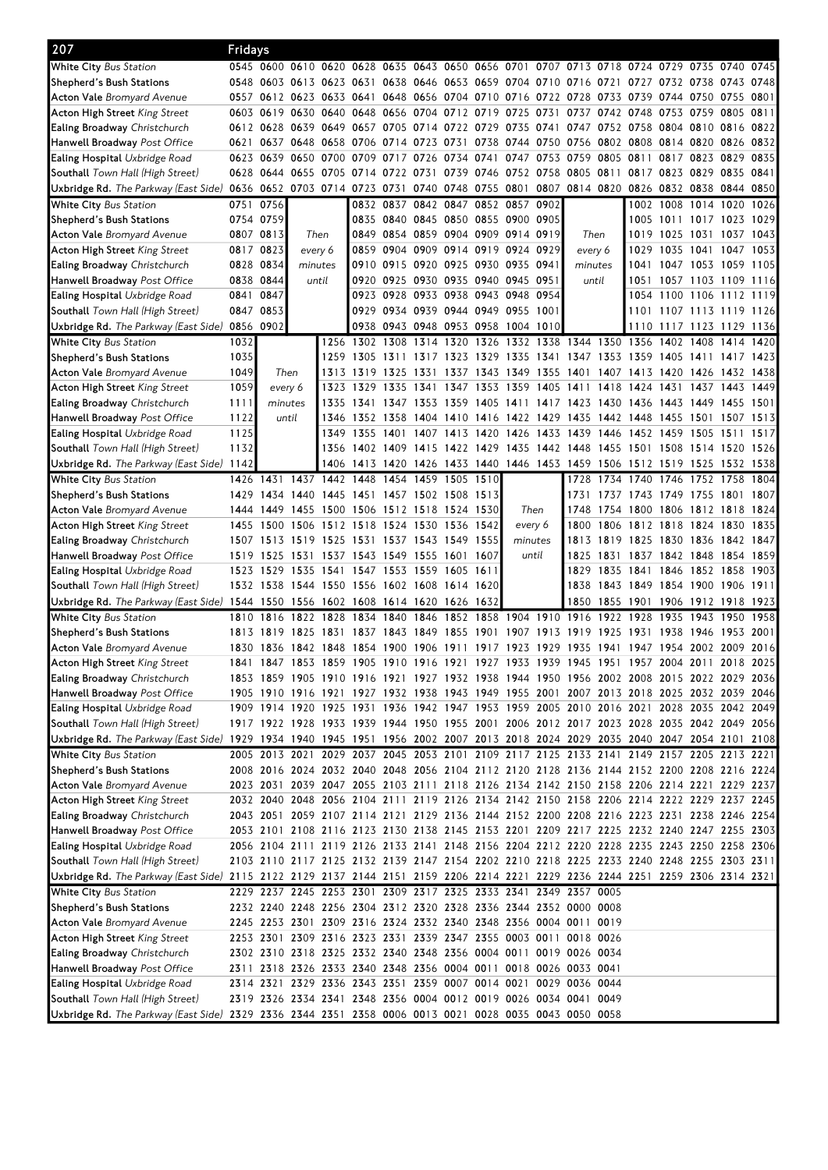| 207                                                                                                                            | Fridays   |           |           |         |                                              |           |                                    |           |      |           |           |                                                                                           |           |                                                                     |                          |                |              |              |
|--------------------------------------------------------------------------------------------------------------------------------|-----------|-----------|-----------|---------|----------------------------------------------|-----------|------------------------------------|-----------|------|-----------|-----------|-------------------------------------------------------------------------------------------|-----------|---------------------------------------------------------------------|--------------------------|----------------|--------------|--------------|
| White City Bus Station                                                                                                         |           |           |           |         |                                              |           |                                    |           |      |           |           | 0545 0600 0610 0620 0628 0635 0643 0650 0656 0701 0707 0713 0718 0724 0729 0735 0740      |           |                                                                     |                          |                |              | 0745         |
| Shepherd's Bush Stations                                                                                                       |           |           |           |         |                                              |           |                                    |           |      |           |           | 0548 0603 0613 0623 0631 0638 0646 0653 0659 0704 0710 0716 0721                          |           | 0727 0732 0738 0743 0748                                            |                          |                |              |              |
| <b>Acton Vale</b> Bromyard Avenue                                                                                              |           |           |           |         |                                              |           |                                    |           |      |           |           | 0557 0612 0623 0633 0641 0648 0656 0704 0710 0716 0722 0728 0733                          |           | 0739                                                                | 0744 0750 0755 0801      |                |              |              |
| <b>Acton High Street</b> King Street                                                                                           |           |           |           |         | 0603 0619 0630 0640 0648 0656 0704 0712 0719 |           |                                    |           |      | 0725 0731 |           | 0737 0742 0748                                                                            |           |                                                                     | 0753 0759 0805 0811      |                |              |              |
| Ealing Broadway Christchurch                                                                                                   |           |           |           |         |                                              |           |                                    |           |      |           |           | 0612 0628 0639 0649 0657 0705 0714 0722 0729 0735 0741 0747 0752 0758 0804 0810 0816 0822 |           |                                                                     |                          |                |              |              |
| Hanwell Broadway Post Office                                                                                                   |           |           |           |         |                                              |           |                                    |           |      |           |           | 0621 0637 0648 0658 0706 0714 0723 0731 0738 0744 0750 0756 0802 0808 0814 0820           |           |                                                                     |                          |                | 0826 0832    |              |
| <b>Ealing Hospital</b> Uxbridge Road                                                                                           |           |           |           |         |                                              |           |                                    |           |      |           |           | 0623 0639 0650 0700 0709 0717 0726 0734 0741 0747 0753 0759 0805 0811                     |           |                                                                     |                          | 0817 0823 0829 |              | 0835         |
| Southall Town Hall (High Street)                                                                                               |           |           |           |         | 0628 0644 0655 0705 0714 0722 0731 0739 0746 |           |                                    |           |      |           |           | 0752 0758 0805 0811                                                                       |           | 0817 0823 0829 0835 0841                                            |                          |                |              |              |
| Uxbridge Rd. The Parkway (East Side) 0636 0652 0703 0714 0723 0731                                                             |           |           |           |         |                                              |           | 0740 0748 0755 0801 0807           |           |      |           |           | 0814 0820 0826 0832 0838 0844 0850                                                        |           |                                                                     |                          |                |              |              |
| <b>White City Bus Station</b>                                                                                                  | 0751 0756 |           |           |         |                                              |           | 0832 0837 0842 0847 0852 0857 0902 |           |      |           |           |                                                                                           |           |                                                                     | 1002 1008 1014 1020      |                |              | 1026         |
| Shepherd's Bush Stations                                                                                                       |           | 0754 0759 |           |         |                                              |           | 0835 0840 0845 0850 0855 0900 0905 |           |      |           |           |                                                                                           |           |                                                                     | 1005 1011 1017 1023 1029 |                |              |              |
| <b>Acton Vale</b> Bromyard Avenue                                                                                              |           | 0807 0813 |           | Then    |                                              |           | 0849 0854 0859 0904 0909 0914 0919 |           |      |           |           | Then                                                                                      |           | 1019                                                                | 1025 1031 1037 1043      |                |              |              |
| <b>Acton High Street</b> King Street                                                                                           |           | 0817 0823 |           | every 6 |                                              |           | 0859 0904 0909 0914 0919 0924 0929 |           |      |           |           | every 6                                                                                   |           | 1029                                                                | 1035 1041 1047           |                |              | 1053         |
| <b>Ealing Broadway</b> Christchurch                                                                                            |           | 0828 0834 |           | minutes |                                              | 0910 0915 | 0920 0925 0930 0935 0941           |           |      |           |           | minutes                                                                                   |           | 1041                                                                | 1047 1053 1059 1105      |                |              |              |
| <b>Hanwell Broadway</b> Post Office                                                                                            |           | 0838 0844 |           | until   | 0920                                         | 0925      | 0930 0935 0940 0945 0951           |           |      |           |           | until                                                                                     |           | 1051                                                                | 1057 1103 1109 1116      |                |              |              |
| <b>Ealing Hospital</b> Uxbridge Road                                                                                           | 0841 0847 |           |           |         |                                              |           | 0923 0928 0933 0938 0943 0948 0954 |           |      |           |           |                                                                                           |           |                                                                     | 1054 1100 1106 1112 1119 |                |              |              |
| <b>Southall</b> Town Hall (High Street)                                                                                        |           | 0847 0853 |           |         |                                              |           | 0929 0934 0939 0944 0949 0955 1001 |           |      |           |           |                                                                                           |           |                                                                     | 1101 1107 1113 1119 1126 |                |              |              |
| Uxbridge Rd. The Parkway (East Side)                                                                                           | 0856 0902 |           |           |         |                                              |           | 0938 0943 0948 0953 0958 1004 1010 |           |      |           |           |                                                                                           |           |                                                                     | 1110 1117 1123 1129 1136 |                |              |              |
| <b>White City Bus Station</b>                                                                                                  | 1032      |           |           |         | 1256 1302 1308 1314 1320 1326                |           |                                    |           |      |           |           | 1332 1338 1344 1350 1356 1402 1408 1414                                                   |           |                                                                     |                          |                |              | 1420         |
| Shepherd's Bush Stations                                                                                                       | 1035      |           |           |         | 1259 1305                                    | 1311      | 1317                               | 1323 1329 |      |           |           | 1335 1341 1347 1353 1359                                                                  |           |                                                                     | 1405 1411                |                | 1417         | 1423         |
| <b>Acton Vale</b> Bromyard Avenue                                                                                              | 1049      |           | Then      | 1313    | 1319                                         | 1325      | 1331                               | 1337 1343 |      | 1349      | 1355      | 1401                                                                                      | 1407      | 1413                                                                | 1420 1426                |                | 1432         | 1438         |
| Acton High Street King Street                                                                                                  | 1059      |           | every 6   | 1323    | 1329                                         | 1335      | 1341                               | 1347 1353 |      | 1359      | 1405 1411 |                                                                                           | 1418 1424 |                                                                     | 1431 1437 1443           |                |              | 1449         |
| Ealing Broadway Christchurch                                                                                                   | 1111      | minutes   |           | 1335    |                                              |           |                                    |           |      |           |           | 1341 1347 1353 1359 1405 1411 1417 1423 1430 1436 1443 1449 1455 1501                     |           |                                                                     |                          |                |              |              |
| Hanwell Broadway Post Office                                                                                                   | 1122      |           | until     |         |                                              |           |                                    |           |      |           |           | 1346 1352 1358 1404 1410 1416 1422 1429 1435 1442 1448 1455 1501 1507 1513                |           |                                                                     |                          |                |              |              |
| <b>Ealing Hospital</b> Uxbridge Road                                                                                           | 1125      |           |           |         |                                              |           |                                    |           |      |           |           | 1349 1355 1401 1407 1413 1420 1426 1433 1439 1446 1452 1459 1505 1511                     |           |                                                                     |                          |                |              | 1517         |
| <b>Southall</b> Town Hall (High Street)                                                                                        | 1132      |           |           |         |                                              |           |                                    |           |      |           |           | 1356 1402 1409 1415 1422 1429 1435 1442 1448 1455 1501 1508 1514 1520 1526                |           |                                                                     |                          |                |              |              |
| Uxbridge Rd. The Parkway (East Side) 1142                                                                                      |           |           |           |         |                                              |           |                                    |           |      |           |           | 1406 1413 1420 1426 1433 1440 1446 1453 1459 1506 1512 1519 1525                          |           |                                                                     |                          |                | 1532         | 1538         |
| <b>White City Bus Station</b>                                                                                                  |           |           |           |         | 1426 1431 1437 1442 1448                     |           | 1454 1459 1505 1510                |           |      |           |           | 1728                                                                                      |           | 1734 1740 1746 1752 1758                                            |                          |                |              | 1804         |
| Shepherd's Bush Stations                                                                                                       |           |           |           |         | 1429 1434 1440 1445 1451 1457 1502 1508 1513 |           |                                    |           |      |           |           | 1731                                                                                      |           | 1737 1743 1749 1755 1801 1807                                       |                          |                |              |              |
| <b>Acton Vale</b> Bromyard Avenue                                                                                              |           | 1444 1449 |           |         | 1455 1500 1506 1512 1518 1524 1530           |           |                                    |           |      | Then      |           | 1748                                                                                      |           | 1754 1800 1806 1812 1818                                            |                          |                |              | 1824         |
| Acton High Street King Street                                                                                                  |           |           |           |         | 1455 1500 1506 1512 1518 1524 1530 1536 1542 |           |                                    |           |      | every 6   |           | 1800                                                                                      |           | 1806 1812 1818 1824 1830                                            |                          |                |              | 1835         |
| Ealing Broadway Christchurch                                                                                                   |           |           |           |         | 1507 1513 1519 1525 1531 1537 1543 1549 1555 |           |                                    |           |      | minutes   |           | 1813                                                                                      |           | 1819 1825 1830 1836 1842 1847                                       |                          |                |              |              |
| Hanwell Broadway Post Office                                                                                                   | 1519      | 1525      | 1531      | 1537    | 1543                                         | 1549      | 1555 1601                          |           | 1607 | until     |           | 1825                                                                                      | 1831      | 1837 1842 1848                                                      |                          |                | 1854         | 1859         |
| <b>Ealing Hospital</b> Uxbridge Road                                                                                           |           | 1523 1529 | 1535 1541 |         |                                              |           | 1547 1553 1559 1605 1611           |           |      |           |           | 1829                                                                                      |           | 1835 1841 1846 1852 1858                                            |                          |                |              | 1903         |
| Southall Town Hall (High Street)                                                                                               |           |           |           |         | 1532 1538 1544 1550 1556 1602 1608 1614 1620 |           |                                    |           |      |           |           | 1838                                                                                      |           | 1843 1849 1854 1900 1906 1911<br>1850 1855 1901 1906 1912 1918 1923 |                          |                |              |              |
| Uxbridge Rd. <i>The Parkway (East Side)</i> 1544 1550 1556 1602 1608 1614 1620 1626 1632<br><b>White City Bus Station</b>      |           | 1810 1816 |           |         |                                              |           |                                    |           |      |           |           |                                                                                           |           |                                                                     |                          |                |              |              |
|                                                                                                                                |           | 1813 1819 | 1825      | 1831    | 1822 1828 1834 1840 1846<br>1837             | 1843 1849 |                                    | 1855 1901 |      | 1907      | 1913 1919 | 1852 1858 1904 1910 1916 1922 1928 1935 1943                                              | 1925      | 1931                                                                | 1938 1946                |                | 1950<br>1953 | 1958<br>2001 |
| Shepherd's Bush Stations<br><b>Acton Vale</b> Bromvard Avenue                                                                  |           |           |           |         |                                              |           |                                    |           |      |           |           | 1830 1836 1842 1848 1854 1900 1906 1911 1917 1923 1929 1935 1941                          |           | 1947 1954 2002 2009 2016                                            |                          |                |              |              |
|                                                                                                                                |           |           |           |         |                                              |           |                                    |           |      |           |           | 1841 1847 1853 1859 1905 1910 1916 1921 1927 1933 1939 1945 1951 1957 2004 2011 2018 2025 |           |                                                                     |                          |                |              |              |
| Acton High Street King Street<br><b>Ealing Broadway</b> Christchurch                                                           |           |           |           |         |                                              |           |                                    |           |      |           |           | 1853 1859 1905 1910 1916 1921 1927 1932 1938 1944 1950 1956 2002 2008 2015 2022 2029 2036 |           |                                                                     |                          |                |              |              |
| Hanwell Broadway Post Office                                                                                                   |           |           |           |         |                                              |           |                                    |           |      |           |           | 1905 1910 1916 1921 1927 1932 1938 1943 1949 1955 2001 2007 2013 2018 2025 2032 2039 2046 |           |                                                                     |                          |                |              |              |
| Ealing Hospital Uxbridge Road                                                                                                  |           |           |           |         |                                              |           |                                    |           |      |           |           | 1909 1914 1920 1925 1931 1936 1942 1947 1953 1959 2005 2010 2016 2021 2028 2035 2042 2049 |           |                                                                     |                          |                |              |              |
| <b>Southall</b> Town Hall (High Street)                                                                                        |           |           |           |         |                                              |           |                                    |           |      |           |           | 1917 1922 1928 1933 1939 1944 1950 1955 2001 2006 2012 2017 2023 2028 2035 2042 2049 2056 |           |                                                                     |                          |                |              |              |
| Uxbridge Rd. The Parkway (East Side) 1929 1934 1940 1945 1951 1956 2002 2007 2013 2018 2024 2029 2035 2040 2047 2054 2101 2108 |           |           |           |         |                                              |           |                                    |           |      |           |           |                                                                                           |           |                                                                     |                          |                |              |              |
| <b>White City</b> Bus Station                                                                                                  |           |           |           |         |                                              |           |                                    |           |      |           |           | 2005 2013 2021 2029 2037 2045 2053 2101 2109 2117 2125 2133 2141 2149 2157 2205 2213 2221 |           |                                                                     |                          |                |              |              |
| Shepherd's Bush Stations                                                                                                       |           |           |           |         |                                              |           |                                    |           |      |           |           | 2008 2016 2024 2032 2040 2048 2056 2104 2112 2120 2128 2136 2144 2152 2200 2208 2216 2224 |           |                                                                     |                          |                |              |              |
| <b>Acton Vale</b> Bromyard Avenue                                                                                              |           |           |           |         |                                              |           |                                    |           |      |           |           | 2023 2031 2039 2047 2055 2103 2111 2118 2126 2134 2142 2150 2158 2206 2214 2221 2229 2237 |           |                                                                     |                          |                |              |              |
| <b>Acton High Street</b> King Street                                                                                           |           |           |           |         |                                              |           |                                    |           |      |           |           | 2032 2040 2048 2056 2104 2111 2119 2126 2134 2142 2150 2158 2206 2214 2222 2229 2237 2245 |           |                                                                     |                          |                |              |              |
| Ealing Broadway Christchurch                                                                                                   |           |           |           |         |                                              |           |                                    |           |      |           |           | 2043 2051 2059 2107 2114 2121 2129 2136 2144 2152 2200 2208 2216 2223 2231 2238 2246 2254 |           |                                                                     |                          |                |              |              |
| Hanwell Broadway <i>Post Office</i>                                                                                            |           |           |           |         |                                              |           |                                    |           |      |           |           | 2053 2101 2108 2116 2123 2130 2138 2145 2153 2201 2209 2217 2225 2232 2240 2247 2255 2303 |           |                                                                     |                          |                |              |              |
| <b>Ealing Hospital</b> Uxbridge Road                                                                                           |           |           |           |         |                                              |           |                                    |           |      |           |           | 2056 2104 2111 2119 2126 2133 2141 2148 2156 2204 2212 2220 2228 2235 2243 2250 2258 2306 |           |                                                                     |                          |                |              |              |
| <b>Southall</b> Town Hall (High Street)                                                                                        |           |           |           |         |                                              |           |                                    |           |      |           |           | 2103 2110 2117 2125 2132 2139 2147 2154 2202 2210 2218 2225 2233 2240 2248 2255 2303 2311 |           |                                                                     |                          |                |              |              |
| Uxbridge Rd. The Parkway (East Side) 2115 2122 2129 2137 2144 2151 2159 2206 2214 2221 2229 2236 2244 2251 2259 2306 2314 2321 |           |           |           |         |                                              |           |                                    |           |      |           |           |                                                                                           |           |                                                                     |                          |                |              |              |
| <b>White City</b> Bus Station                                                                                                  |           |           |           |         |                                              |           |                                    |           |      |           |           | 2229 2237 2245 2253 2301 2309 2317 2325 2333 2341 2349 2357 0005                          |           |                                                                     |                          |                |              |              |
| Shepherd's Bush Stations                                                                                                       |           |           |           |         |                                              |           |                                    |           |      |           |           | 2232 2240 2248 2256 2304 2312 2320 2328 2336 2344 2352 0000 0008                          |           |                                                                     |                          |                |              |              |
| <b>Acton Vale</b> Bromyard Avenue                                                                                              |           |           |           |         |                                              |           |                                    |           |      |           |           | 2245 2253 2301 2309 2316 2324 2332 2340 2348 2356 0004 0011 0019                          |           |                                                                     |                          |                |              |              |
| <b>Acton High Street</b> King Street                                                                                           |           |           |           |         |                                              |           |                                    |           |      |           |           | 2253 2301 2309 2316 2323 2331 2339 2347 2355 0003 0011 0018 0026                          |           |                                                                     |                          |                |              |              |
| <b>Ealing Broadway</b> Christchurch                                                                                            |           |           |           |         |                                              |           |                                    |           |      |           |           | 2302 2310 2318 2325 2332 2340 2348 2356 0004 0011 0019 0026 0034                          |           |                                                                     |                          |                |              |              |
| Hanwell Broadway <i>Post Office</i>                                                                                            |           |           |           |         |                                              |           |                                    |           |      |           |           | 2311 2318 2326 2333 2340 2348 2356 0004 0011 0018 0026 0033 0041                          |           |                                                                     |                          |                |              |              |
| <b>Ealing Hospital</b> Uxbridge Road                                                                                           |           |           |           |         |                                              |           |                                    |           |      |           |           | 2314 2321 2329 2336 2343 2351 2359 0007 0014 0021 0029 0036 0044                          |           |                                                                     |                          |                |              |              |
| Southall Town Hall (High Street)                                                                                               |           |           |           |         |                                              |           |                                    |           |      |           |           | 2319 2326 2334 2341 2348 2356 0004 0012 0019 0026 0034 0041 0049                          |           |                                                                     |                          |                |              |              |
| Uxbridge Rd. The Parkway (East Side) 2329 2336 2344 2351 2358 0006 0013 0021 0028 0035 0043 0050 0058                          |           |           |           |         |                                              |           |                                    |           |      |           |           |                                                                                           |           |                                                                     |                          |                |              |              |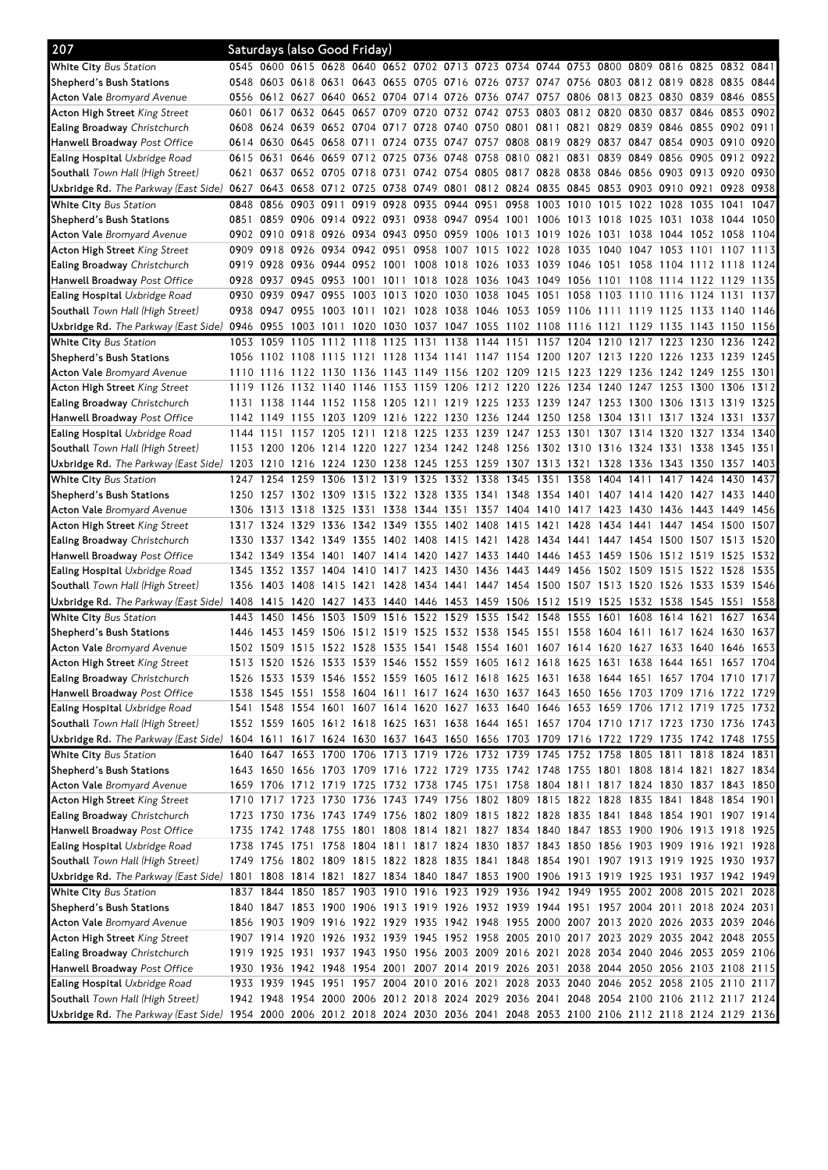| 207                                                                                                                              |           |           | Saturdays (also Good Friday) |      |                |           |                                                                                                                                                                                         |           |           |                          |      |           |      |                                              |      |           |      |
|----------------------------------------------------------------------------------------------------------------------------------|-----------|-----------|------------------------------|------|----------------|-----------|-----------------------------------------------------------------------------------------------------------------------------------------------------------------------------------------|-----------|-----------|--------------------------|------|-----------|------|----------------------------------------------|------|-----------|------|
| <b>White City Bus Station</b>                                                                                                    |           |           |                              |      |                |           | 0545 0600 0615 0628 0640 0652 0702 0713 0723 0734 0744 0753 0800 0809 0816 0825 0832 0841                                                                                               |           |           |                          |      |           |      |                                              |      |           |      |
| Shepherd's Bush Stations                                                                                                         |           |           |                              |      |                |           | 0548 0603 0618 0631 0643 0655 0705 0716 0726 0737 0747 0756 0803 0812 0819 0828 0835                                                                                                    |           |           |                          |      |           |      |                                              |      |           | 0844 |
| <b>Acton Vale</b> Bromyard Avenue                                                                                                |           |           |                              |      |                |           | 0556 0612 0627 0640 0652 0704 0714 0726 0736                                                                                                                                            |           |           |                          |      |           |      | 0747 0757 0806 0813 0823 0830 0839 0846 0855 |      |           |      |
| <b>Acton High Street King Street</b>                                                                                             |           |           |                              |      |                |           | 0601 0617 0632 0645 0657 0709 0720 0732 0742 0753 0803 0812 0820 0830 0837 0846 0853 0902                                                                                               |           |           |                          |      |           |      |                                              |      |           |      |
| <b>Ealing Broadway</b> Christchurch                                                                                              |           |           |                              |      |                |           | 0608 0624 0639 0652 0704 0717 0728 0740 0750 0801 0811 0821 0829 0839 0846 0855 0902 0911                                                                                               |           |           |                          |      |           |      |                                              |      |           |      |
| Hanwell Broadway Post Office                                                                                                     |           |           |                              |      |                |           | 0614 0630 0645 0658 0711 0724 0735 0747 0757 0808 0819 0829 0837 0847 0854 0903 0910 0920                                                                                               |           |           |                          |      |           |      |                                              |      |           |      |
| <b>Ealing Hospital Uxbridge Road</b>                                                                                             | 0615 0631 |           |                              |      |                |           | 0646 0659 0712 0725 0736 0748 0758 0810 0821                                                                                                                                            |           |           |                          |      |           |      | 0831 0839 0849 0856 0905 0912 0922           |      |           |      |
| Southall Town Hall (High Street)                                                                                                 |           |           |                              |      |                |           | 0621 0637 0652 0705 0718 0731 0742 0754 0805 0817 0828 0838 0846 0856 0903 0913 0920 0930                                                                                               |           |           |                          |      |           |      |                                              |      |           |      |
| Uxbridge Rd. The Parkway (East Side)                                                                                             | 0627 0643 |           |                              |      |                |           | 0658 0712 0725 0738 0749 0801 0812 0824 0835 0845 0853 0903 0910 0921                                                                                                                   |           |           |                          |      |           |      |                                              |      | 0928 0938 |      |
| White City Bus Station                                                                                                           |           | 0848 0856 | 0903 0911                    |      |                |           | 0919 0928 0935 0944 0951 0958 1003 1010 1015 1022 1028 1035 1041                                                                                                                        |           |           |                          |      |           |      |                                              |      |           | 1047 |
| Shepherd's Bush Stations                                                                                                         |           |           |                              |      |                |           | 0851 0859 0906 0914 0922 0931 0938 0947 0954 1001 1006 1013 1018 1025 1031 1038 1044 1050                                                                                               |           |           |                          |      |           |      |                                              |      |           |      |
| <b>Acton Vale</b> Bromyard Avenue                                                                                                |           |           |                              |      |                |           | 0902 0910 0918 0926 0934 0943 0950 0959 1006 1013 1019 1026 1031 1038 1044 1052 1058                                                                                                    |           |           |                          |      |           |      |                                              |      |           | 1104 |
| <b>Acton High Street King Street</b>                                                                                             |           |           |                              |      |                |           | 0909 0918 0926 0934 0942 0951 0958 1007 1015 1022 1028 1035 1040 1047 1053 1101 1107 1113                                                                                               |           |           |                          |      |           |      |                                              |      |           |      |
| Ealing Broadway Christchurch                                                                                                     |           |           |                              |      |                |           | 0919 0928 0936 0944 0952 1001 1008 1018 1026 1033 1039 1046 1051 1058 1104 1112 1118 1124                                                                                               |           |           |                          |      |           |      |                                              |      |           |      |
| Hanwell Broadway Post Office                                                                                                     |           |           |                              |      |                |           | 0928 0937 0945 0953 1001 1011 1018 1028 1036                                                                                                                                            |           |           |                          |      |           |      | 1043 1049 1056 1101 1108 1114 1122 1129 1135 |      |           |      |
| <b>Ealing Hospital Uxbridge Road</b>                                                                                             |           |           |                              |      |                |           | 0930 0939 0947 0955 1003 1013 1020 1030 1038 1045 1051 1058 1103 1110 1116 1124 1131 1137                                                                                               |           |           |                          |      |           |      |                                              |      |           |      |
| Southall Town Hall (High Street)                                                                                                 |           |           |                              |      |                |           | 0938 0947 0955 1003 1011 1021 1028 1038 1046 1053 1059 1106 1111 1119 1125 1133 1140 1146                                                                                               |           |           |                          |      |           |      |                                              |      |           |      |
| Uxbridge Rd. The Parkway (East Side)                                                                                             | 0946 0955 |           |                              |      |                |           | 1003 1011 1020 1030 1037 1047 1055 1102 1108 1116 1121 1129 1135 1143 1150 1156                                                                                                         |           |           |                          |      |           |      |                                              |      |           |      |
| White City Bus Station                                                                                                           |           |           |                              |      |                |           | 1053 1059 1105 1112 1118 1125 1131 1138 1144 1151 1157 1204 1210 1217 1223 1230 1236                                                                                                    |           |           |                          |      |           |      |                                              |      |           | 1242 |
| Shepherd's Bush Stations                                                                                                         |           |           |                              |      |                |           | 1056 1102 1108 1115 1121 1128 1134 1141 1147 1154 1200 1207 1213 1220 1226 1233 1239                                                                                                    |           |           |                          |      |           |      |                                              |      |           | 1245 |
| <b>Acton Vale</b> Bromyard Avenue                                                                                                |           | 1110 1116 |                              |      |                |           | 1122 1130 1136 1143 1149 1156 1202 1209 1215 1223 1229 1236 1242 1249                                                                                                                   |           |           |                          |      |           |      |                                              |      | 1255      | 1301 |
| <b>Acton High Street King Street</b>                                                                                             | 1119 1126 |           |                              |      |                |           | 1132 1140 1146 1153 1159 1206 1212 1220 1226 1234 1240 1247 1253 1300 1306                                                                                                              |           |           |                          |      |           |      |                                              |      |           | 1312 |
| Ealing Broadway Christchurch                                                                                                     |           |           |                              |      |                |           | 1131 1138 1144 1152 1158 1205 1211 1219 1225 1233 1239 1247 1253 1300 1306 1313 1319 1325                                                                                               |           |           |                          |      |           |      |                                              |      |           |      |
| Hanwell Broadway Post Office                                                                                                     |           |           |                              |      |                |           | 1142 1149 1155 1203 1209 1216 1222 1230 1236 1244 1250 1258 1304 1311 1317 1324 1331                                                                                                    |           |           |                          |      |           |      |                                              |      |           | 1337 |
| <b>Ealing Hospital Uxbridge Road</b>                                                                                             |           |           |                              |      |                |           | 1144 1151 1157 1205 1211 1218 1225 1233 1239 1247 1253 1301 1307 1314 1320 1327 1334 1340                                                                                               |           |           |                          |      |           |      |                                              |      |           |      |
| Southall Town Hall (High Street)                                                                                                 |           |           |                              |      |                |           | 1153 1200 1206 1214 1220 1227 1234 1242 1248 1256 1302 1310 1316 1324 1331 1338 1345 1351                                                                                               |           |           |                          |      |           |      |                                              |      |           |      |
| Uxbridge Rd. The Parkway (East Side) 1203 1210 1216 1224 1230 1238 1245 1253 1259 1307 1313 1321 1328 1336 1343 1350 1357        |           |           |                              |      |                |           |                                                                                                                                                                                         |           |           |                          |      |           |      |                                              |      |           | 1403 |
| White City Bus Station                                                                                                           |           |           |                              |      |                |           | 1247 1254 1259 1306 1312 1319 1325 1332 1338 1345 1351 1358                                                                                                                             |           |           |                          |      | 1404 1411 |      | 1417 1424 1430                               |      |           | 1437 |
| Shepherd's Bush Stations                                                                                                         |           |           |                              |      |                |           | 1250 1257 1302 1309 1315 1322 1328 1335 1341 1348 1354 1401 1407 1414 1420 1427 1433 1440                                                                                               |           |           |                          |      |           |      |                                              |      |           |      |
| <b>Acton Vale</b> Bromyard Avenue                                                                                                |           |           |                              |      |                |           | 1306 1313 1318 1325 1331 1338 1344 1351 1357 1404 1410 1417 1423 1430 1436 1443                                                                                                         |           |           |                          |      |           |      |                                              |      | 1449      | 1456 |
| <b>Acton High Street King Street</b>                                                                                             |           |           |                              |      |                |           | 1317 1324 1329 1336 1342 1349 1355 1402 1408                                                                                                                                            |           |           | 1415 1421 1428 1434 1441 |      |           |      | 1447 1454 1500                               |      |           | 1507 |
| Ealing Broadway Christchurch                                                                                                     |           |           |                              |      |                |           | 1330 1337 1342 1349 1355 1402 1408 1415 1421 1428 1434 1441 1447 1454 1500 1507 1513                                                                                                    |           |           |                          |      |           |      |                                              |      |           | 1520 |
| Hanwell Broadway Post Office                                                                                                     |           | 1342 1349 | 1354                         | 1401 | 1407           | 1414 1420 |                                                                                                                                                                                         | 1427 1433 | 1440      | 1446 1453                |      |           |      | 1459 1506 1512 1519                          |      | 1525      | 1532 |
| <b>Ealing Hospital</b> Uxbridge Road                                                                                             |           |           | 1345 1352 1357 1404 1410     |      |                |           | 1417 1423 1430 1436                                                                                                                                                                     |           |           | 1443 1449 1456 1502 1509 |      |           |      | 1515 1522 1528                               |      |           | 1535 |
| Southall Town Hall (High Street)                                                                                                 |           |           |                              |      |                |           | 1356 1403 1408 1415 1421 1428 1434 1441 1447 1454 1500 1507 1513 1520 1526 1533 1539 1546                                                                                               |           |           |                          |      |           |      |                                              |      |           |      |
| Uxbridge Rd. <i>The Parkway (East Side)</i> 1408 1415 1420 1427 1433 1440 1446 1453 1459 1506 1512 1519 1525 1532 1538 1545 1551 |           |           |                              |      |                |           |                                                                                                                                                                                         |           |           |                          |      |           |      |                                              |      |           | 1558 |
| <b>White City Bus Station</b>                                                                                                    | 1443      | 1450      |                              |      |                |           | 1456 1503 1509 1516 1522 1529 1535                                                                                                                                                      |           |           | 1542 1548 1555 1601 1608 |      |           |      | 1614 1621                                    |      | 1627      | 1634 |
| Shepherd's Bush Stations                                                                                                         | 1446      | 1453      | 1459                         |      | 1506 1512 1519 |           | 1525 1532 1538                                                                                                                                                                          |           | 1545 1551 |                          | 1558 | 1604      | 1611 | 1617                                         | 1624 | 1630      | 1637 |
| <b>Acton Vale</b> Bromyard Avenue                                                                                                |           |           |                              |      |                |           | 1502 1509 1515 1522 1528 1535 1541 1548 1554 1601 1607 1614 1620 1627 1633 1640 1646 1653                                                                                               |           |           |                          |      |           |      |                                              |      |           |      |
| Acton High Street King Street                                                                                                    |           |           |                              |      |                |           | 1513 1520 1526 1533 1539 1546 1552 1559 1605 1612 1618 1625 1631 1638 1644 1651 1657 1704                                                                                               |           |           |                          |      |           |      |                                              |      |           |      |
| <b>Ealing Broadway</b> Christchurch                                                                                              |           |           |                              |      |                |           | 1526 1533 1539 1546 1552 1559 1605 1612 1618 1625 1631 1638 1644 1651 1657 1704 1710 1717                                                                                               |           |           |                          |      |           |      |                                              |      |           |      |
| Hanwell Broadway Post Office                                                                                                     |           |           |                              |      |                |           | 1538 1545 1551 1558 1604 1611 1617 1624 1630 1637 1643 1650 1656 1703 1709 1716 1722 1729 <br>1541 1548 1554 1601 1607 1614 1620 1627 1633 1640 1646 1653 1659 1706 1712 1719 1725 1732 |           |           |                          |      |           |      |                                              |      |           |      |
| <b>Ealing Hospital Uxbridge Road</b><br>Southall Town Hall (High Street)                                                         |           |           |                              |      |                |           | 1552 1559 1605 1612 1618 1625 1631 1638 1644 1651 1657 1704 1710 1717 1723 1730 1736 1743                                                                                               |           |           |                          |      |           |      |                                              |      |           |      |
| Uxbridge Rd. The Parkway (East Side) 1604 1611 1617 1624 1630 1637 1643 1650 1656 1703 1709 1716 1722 1729 1735 1742 1748 1755   |           |           |                              |      |                |           |                                                                                                                                                                                         |           |           |                          |      |           |      |                                              |      |           |      |
| White City Bus Station                                                                                                           |           |           |                              |      |                |           | 1640 1647 1653 1700 1706 1713 1719 1726 1732 1739 1745 1752 1758 1805 1811 1818 1824 1831                                                                                               |           |           |                          |      |           |      |                                              |      |           |      |
|                                                                                                                                  |           |           |                              |      |                |           | 1643 1650 1656 1703 1709 1716 1722 1729 1735 1742 1748 1755 1801 1808 1814 1821 1827 1834                                                                                               |           |           |                          |      |           |      |                                              |      |           |      |
| Shepherd's Bush Stations<br><b>Acton Vale</b> Bromyard Avenue                                                                    |           |           |                              |      |                |           | 1659 1706 1712 1719 1725 1732 1738 1745 1751 1758 1804 1811 1817 1824 1830 1837 1843 1850                                                                                               |           |           |                          |      |           |      |                                              |      |           |      |
| Acton High Street King Street                                                                                                    |           |           |                              |      |                |           | 1710 1717 1723 1730 1736 1743 1749 1756 1802 1809 1815 1822 1828 1835 1841 1848 1854 1901                                                                                               |           |           |                          |      |           |      |                                              |      |           |      |
| <b>Ealing Broadway</b> Christchurch                                                                                              |           |           |                              |      |                |           | 1723 1730 1736 1743 1749 1756 1802 1809 1815 1822 1828 1835 1841 1848 1854 1901 1907 1914                                                                                               |           |           |                          |      |           |      |                                              |      |           |      |
| <b>Hanwell Broadway</b> Post Office                                                                                              |           |           |                              |      |                |           | 1735 1742 1748 1755 1801 1808 1814 1821 1827 1834 1840 1847 1853 1900 1906 1913 1918 1925                                                                                               |           |           |                          |      |           |      |                                              |      |           |      |
| <b>Ealing Hospital Uxbridge Road</b>                                                                                             |           |           |                              |      |                |           | 1738 1745 1751 1758 1804 1811 1817 1824 1830 1837 1843 1850 1856 1903 1909 1916 1921 1928                                                                                               |           |           |                          |      |           |      |                                              |      |           |      |
| Southall Town Hall (High Street)                                                                                                 |           |           |                              |      |                |           | 1749 1756 1802 1809 1815 1822 1828 1835 1841 1848 1854 1901 1907 1913 1919 1925 1930 1937                                                                                               |           |           |                          |      |           |      |                                              |      |           |      |
| Uxbridge Rd. The Parkway (East Side) 1801 1808 1814 1821 1827 1834 1840 1847 1853 1900 1906 1913 1919 1925 1931 1937 1942 1949   |           |           |                              |      |                |           |                                                                                                                                                                                         |           |           |                          |      |           |      |                                              |      |           |      |
| White City Bus Station                                                                                                           |           |           |                              |      |                |           | 1837 1844 1850 1857 1903 1910 1916 1923 1929 1936 1942 1949 1955 2002 2008 2015 2021 2028                                                                                               |           |           |                          |      |           |      |                                              |      |           |      |
| Shepherd's Bush Stations                                                                                                         |           |           |                              |      |                |           | 1840 1847 1853 1900 1906 1913 1919 1926 1932 1939 1944 1951 1957 2004 2011 2018 2024 2031                                                                                               |           |           |                          |      |           |      |                                              |      |           |      |
| <b>Acton Vale</b> Bromyard Avenue                                                                                                |           |           |                              |      |                |           | 1856 1903 1909 1916 1922 1929 1935 1942 1948 1955 2000 2007 2013 2020 2026 2033 2039 2046                                                                                               |           |           |                          |      |           |      |                                              |      |           |      |
| <b>Acton High Street King Street</b>                                                                                             |           |           |                              |      |                |           | 1907 1914 1920 1926 1932 1939 1945 1952 1958 2005 2010 2017 2023 2029 2035 2042 2048 2055                                                                                               |           |           |                          |      |           |      |                                              |      |           |      |
| Ealing Broadway Christchurch                                                                                                     |           |           |                              |      |                |           | 1919 1925 1931 1937 1943 1950 1956 2003 2009 2016 2021 2028 2034 2040 2046 2053 2059 2106                                                                                               |           |           |                          |      |           |      |                                              |      |           |      |
| <b>Hanwell Broadway</b> Post Office                                                                                              |           |           |                              |      |                |           | 1930 1936 1942 1948 1954 2001 2007 2014 2019 2026 2031 2038 2044 2050 2056 2103 2108 2115                                                                                               |           |           |                          |      |           |      |                                              |      |           |      |
| <b>Ealing Hospital Uxbridge Road</b>                                                                                             |           |           |                              |      |                |           | 1933 1939 1945 1951 1957 2004 2010 2016 2021 2028 2033 2040 2046 2052 2058 2105 2110 2117                                                                                               |           |           |                          |      |           |      |                                              |      |           |      |
| Southall Town Hall (High Street)                                                                                                 |           |           |                              |      |                |           | 1942 1948 1954 2000 2006 2012 2018 2024 2029 2036 2041 2048 2054 2100 2106 2112 2117 2124                                                                                               |           |           |                          |      |           |      |                                              |      |           |      |
| Uxbridge Rd. The Parkway (East Side) 1954 2000 2006 2012 2018 2024 2030 2036 2041 2048 2053 2100 2106 2112 2118 2124 2129 2136   |           |           |                              |      |                |           |                                                                                                                                                                                         |           |           |                          |      |           |      |                                              |      |           |      |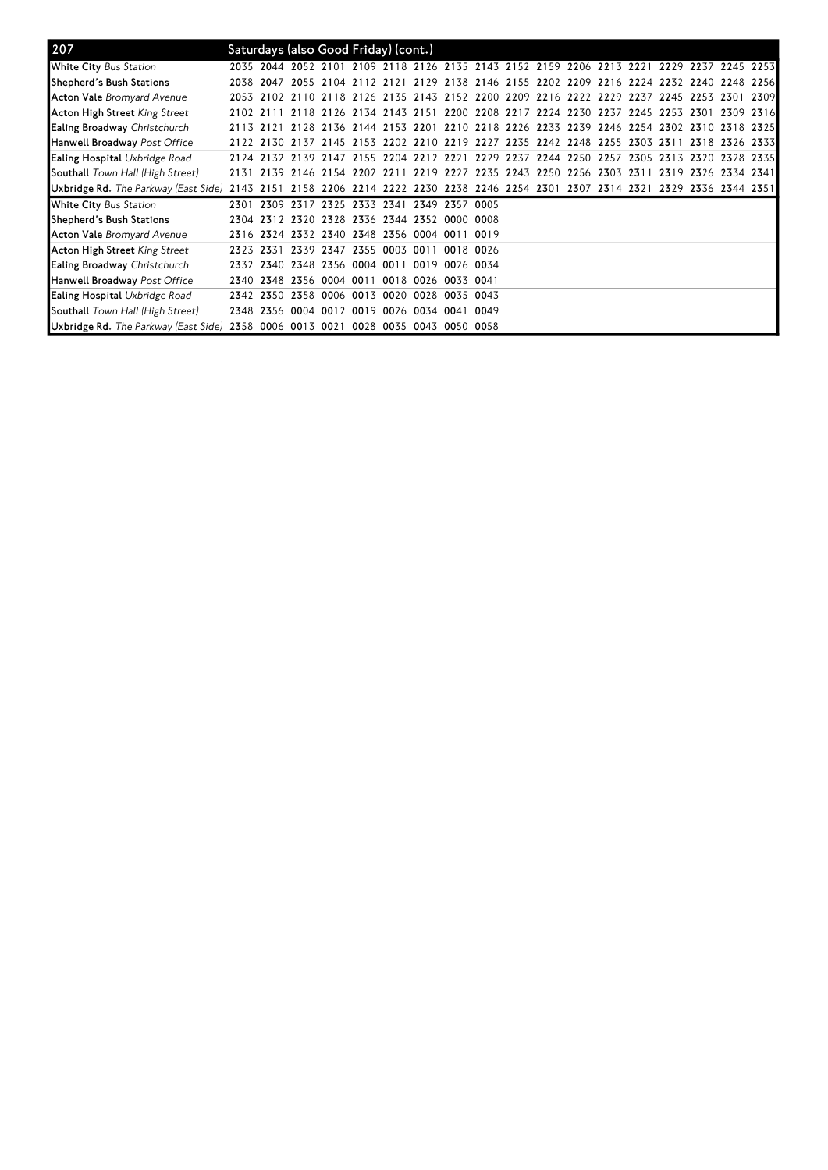| 207                                     |           | Saturdays (also Good Friday) (cont.)         |                                    |  |                          |           |                                                                                           |  |  |  |                 |      |      |
|-----------------------------------------|-----------|----------------------------------------------|------------------------------------|--|--------------------------|-----------|-------------------------------------------------------------------------------------------|--|--|--|-----------------|------|------|
| White City Bus Station                  |           |                                              |                                    |  |                          |           | 2035 2044 2052 2101 2109 2118 2126 2135 2143 2152 2159 2206 2213 2221 2229 2237 2245 2253 |  |  |  |                 |      |      |
| Shepherd's Bush Stations                |           |                                              |                                    |  |                          |           | 2038 2047 2055 2104 2112 2121 2129 2138 2146 2155 2202 2209 2216 2224 2232 2240 2248 2256 |  |  |  |                 |      |      |
| <b>Acton Vale</b> Bromyard Avenue       |           |                                              |                                    |  |                          |           | 2053 2102 2110 2118 2126 2135 2143 2152 2200 2209 2216 2222 2229 2237 2245 2253           |  |  |  |                 | 2301 | 2309 |
| Acton High Street King Street           | 2102 2111 |                                              |                                    |  |                          |           | 2118 2126 2134 2143 2151 2200 2208 2217 2224 2230 2237 2245 2253 2301                     |  |  |  |                 | 2309 | 2316 |
| <b>Ealing Broadway Christchurch</b>     | 2113 2121 |                                              |                                    |  |                          |           | 2128 2136 2144 2153 2201 2210 2218 2226 2233 2239 2246 2254 2302 2310 2318 2325           |  |  |  |                 |      |      |
| Hanwell Broadway <i>Post Office</i>     |           |                                              |                                    |  |                          |           | 2122 2130 2137 2145 2153 2202 2210 2219 2227 2235 2242 2248 2255 2303 2311                |  |  |  | 2318 2326 23331 |      |      |
| Ealing Hospital Uxbridge Road           |           |                                              |                                    |  |                          |           | 2124 2132 2139 2147 2155 2204 2212 2221 2229 2237 2244 2250 2257 2305 2313 2320 2328 2335 |  |  |  |                 |      |      |
| <b>Southall</b> Town Hall (High Street) |           |                                              |                                    |  |                          |           | 2131 2139 2146 2154 2202 2211 2219 2227 2235 2243 2250 2256 2303 2311 2319 2326 2334 2341 |  |  |  |                 |      |      |
| Uxbridge Rd. The Parkway (East Side)    | 2143 2151 |                                              |                                    |  |                          |           | 2158 2206 2214 2222 2230 2238 2246 2254 2301 2307 2314 2321 2329 2336 2344 2351           |  |  |  |                 |      |      |
| <b>White City</b> Bus Station           | 2301      | 2309 2317 2325 2333 2341 2349 2357 0005      |                                    |  |                          |           |                                                                                           |  |  |  |                 |      |      |
| Shepherd's Bush Stations                |           | 2304 2312 2320 2328 2336 2344 2352 0000 0008 |                                    |  |                          |           |                                                                                           |  |  |  |                 |      |      |
| <b>Acton Vale</b> Bromyard Avenue       |           | 2316 2324 2332 2340 2348 2356 0004 0011 0019 |                                    |  |                          |           |                                                                                           |  |  |  |                 |      |      |
| Acton High Street <i>King Street</i>    | 2323      | 2331                                         |                                    |  | 2339 2347 2355 0003 0011 | 0018 0026 |                                                                                           |  |  |  |                 |      |      |
| Ealing Broadway Christchurch            |           | 2332 2340 2348 2356 0004 0011 0019 0026 0034 |                                    |  |                          |           |                                                                                           |  |  |  |                 |      |      |
| Hanwell Broadway <i>Post Office</i>     |           | 2340 2348                                    | 2356 0004 0011 0018 0026 0033 0041 |  |                          |           |                                                                                           |  |  |  |                 |      |      |
| <b>Ealing Hospital</b> Uxbridge Road    |           | 2342 2350 2358 0006 0013 0020 0028 0035 0043 |                                    |  |                          |           |                                                                                           |  |  |  |                 |      |      |
| <b>Southall</b> Town Hall (High Street) |           | 2348 2356 0004 0012 0019 0026 0034 0041 0049 |                                    |  |                          |           |                                                                                           |  |  |  |                 |      |      |
| Uxbridge Rd. The Parkway (East Side)    |           | 2358 0006 0013 0021 0028 0035 0043 0050 0058 |                                    |  |                          |           |                                                                                           |  |  |  |                 |      |      |